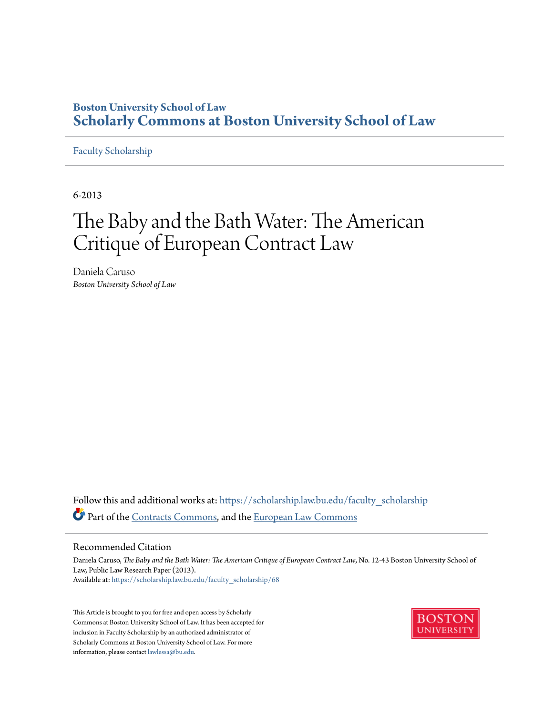### **Boston University School of Law [Scholarly Commons at Boston University School of Law](https://scholarship.law.bu.edu?utm_source=scholarship.law.bu.edu%2Ffaculty_scholarship%2F68&utm_medium=PDF&utm_campaign=PDFCoverPages)**

#### [Faculty Scholarship](https://scholarship.law.bu.edu/faculty_scholarship?utm_source=scholarship.law.bu.edu%2Ffaculty_scholarship%2F68&utm_medium=PDF&utm_campaign=PDFCoverPages)

6-2013

# The Baby and the Bath Water: The American Critique of European Contract Law

Daniela Caruso *Boston University School of Law*

Follow this and additional works at: [https://scholarship.law.bu.edu/faculty\\_scholarship](https://scholarship.law.bu.edu/faculty_scholarship?utm_source=scholarship.law.bu.edu%2Ffaculty_scholarship%2F68&utm_medium=PDF&utm_campaign=PDFCoverPages) Part of the [Contracts Commons](http://network.bepress.com/hgg/discipline/591?utm_source=scholarship.law.bu.edu%2Ffaculty_scholarship%2F68&utm_medium=PDF&utm_campaign=PDFCoverPages), and the [European Law Commons](http://network.bepress.com/hgg/discipline/1084?utm_source=scholarship.law.bu.edu%2Ffaculty_scholarship%2F68&utm_medium=PDF&utm_campaign=PDFCoverPages)

#### Recommended Citation

Daniela Caruso, *The Baby and the Bath Water: The American Critique of European Contract Law*, No. 12-43 Boston University School of Law, Public Law Research Paper (2013). Available at: [https://scholarship.law.bu.edu/faculty\\_scholarship/68](https://scholarship.law.bu.edu/faculty_scholarship/68?utm_source=scholarship.law.bu.edu%2Ffaculty_scholarship%2F68&utm_medium=PDF&utm_campaign=PDFCoverPages)

This Article is brought to you for free and open access by Scholarly Commons at Boston University School of Law. It has been accepted for inclusion in Faculty Scholarship by an authorized administrator of Scholarly Commons at Boston University School of Law. For more information, please contact [lawlessa@bu.edu.](mailto:lawlessa@bu.edu)

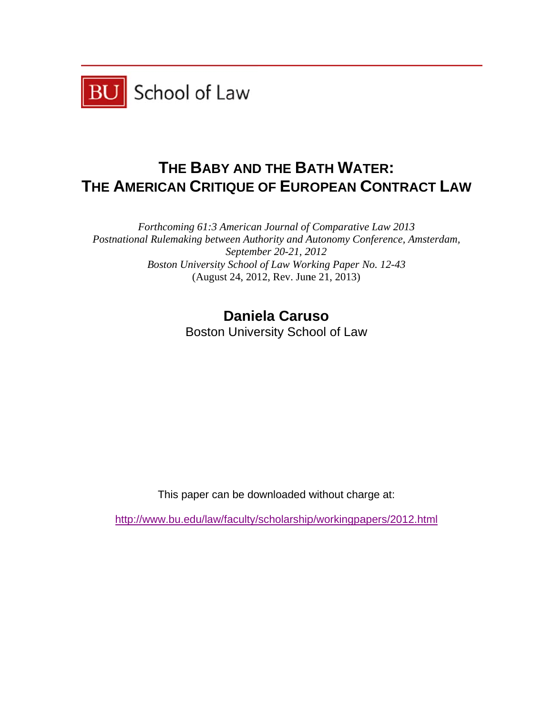

## **THE AMERICAN CRITIQUE OF EUROPEAN CONTRACT LAW THE BABY AND THE BATH WATER:**

*Porthcoming 61:3 American Journal of Comparative Law 2013*<br>*Postnational Rulemaking between Authority and Autonomy Conference, Amsterdam,* Forthcoming 61:3 American Journal of Comparative Law 2013 Boston University School of Law Working Paper No. 12-43 (August 24, 2012, Rev. June 21, 2013) *Septemb ber 20-21, 2 2012* 

> Boston University School of Law **Daniela Caruso**

This paper can be downloaded without cha w<br>arge at:

http://www.bu.edu/law/faculty/scholarship/workingpapers/2012.html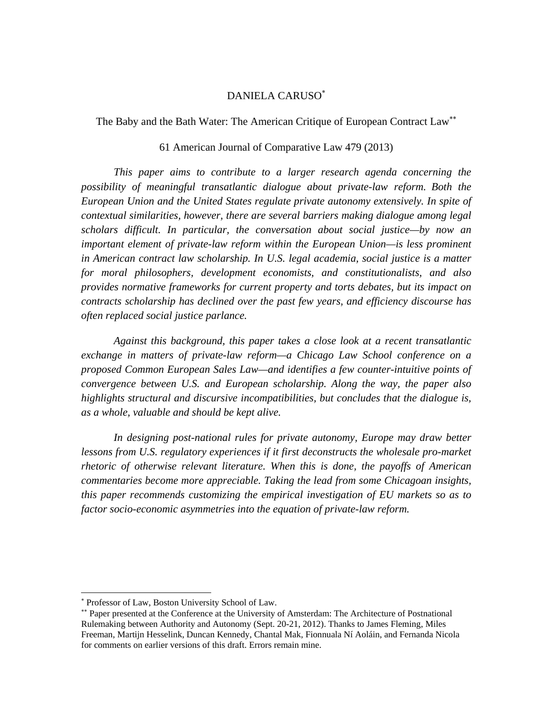#### DANIELA CARUSO

The Baby and the Bath Water: The American Critique of European Contract Law

#### 61 American Journal of Comparative Law 479 (2013)

 *This paper aims to contribute to a larger research agenda concerning the possibility of meaningful transatlantic dialogue about private-law reform. Both the European Union and the United States regulate private autonomy extensively. In spite of contextual similarities, however, there are several barriers making dialogue among legal scholars difficult. In particular, the conversation about social justice—by now an important element of private-law reform within the European Union—is less prominent in American contract law scholarship. In U.S. legal academia, social justice is a matter for moral philosophers, development economists, and constitutionalists, and also provides normative frameworks for current property and torts debates, but its impact on contracts scholarship has declined over the past few years, and efficiency discourse has often replaced social justice parlance.* 

 *Against this background, this paper takes a close look at a recent transatlantic exchange in matters of private-law reform—a Chicago Law School conference on a proposed Common European Sales Law—and identifies a few counter-intuitive points of convergence between U.S. and European scholarship. Along the way, the paper also highlights structural and discursive incompatibilities, but concludes that the dialogue is, as a whole, valuable and should be kept alive.* 

 *In designing post-national rules for private autonomy, Europe may draw better lessons from U.S. regulatory experiences if it first deconstructs the wholesale pro-market rhetoric of otherwise relevant literature. When this is done, the payoffs of American commentaries become more appreciable. Taking the lead from some Chicagoan insights, this paper recommends customizing the empirical investigation of EU markets so as to factor socio-economic asymmetries into the equation of private-law reform.* 

 Professor of Law, Boston University School of Law.

Paper presented at the Conference at the University of Amsterdam: The Architecture of Postnational Rulemaking between Authority and Autonomy (Sept. 20-21, 2012). Thanks to James Fleming, Miles Freeman, Martijn Hesselink, Duncan Kennedy, Chantal Mak, Fionnuala Ní Aoláin, and Fernanda Nicola for comments on earlier versions of this draft. Errors remain mine.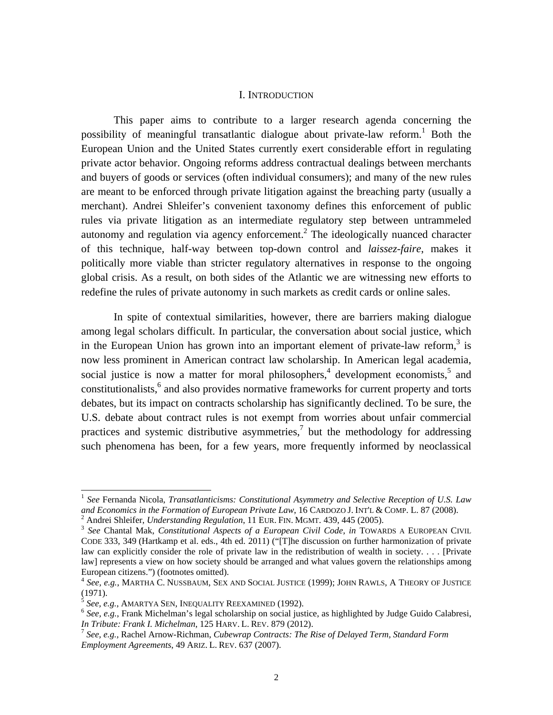#### I. INTRODUCTION

 This paper aims to contribute to a larger research agenda concerning the possibility of meaningful transatlantic dialogue about private-law reform.<sup>1</sup> Both the European Union and the United States currently exert considerable effort in regulating private actor behavior. Ongoing reforms address contractual dealings between merchants and buyers of goods or services (often individual consumers); and many of the new rules are meant to be enforced through private litigation against the breaching party (usually a merchant). Andrei Shleifer's convenient taxonomy defines this enforcement of public rules via private litigation as an intermediate regulatory step between untrammeled autonomy and regulation via agency enforcement.<sup>2</sup> The ideologically nuanced character of this technique, half-way between top-down control and *laissez-faire*, makes it politically more viable than stricter regulatory alternatives in response to the ongoing global crisis. As a result, on both sides of the Atlantic we are witnessing new efforts to redefine the rules of private autonomy in such markets as credit cards or online sales.

 In spite of contextual similarities, however, there are barriers making dialogue among legal scholars difficult. In particular, the conversation about social justice, which in the European Union has grown into an important element of private-law reform, $3$  is now less prominent in American contract law scholarship. In American legal academia, social justice is now a matter for moral philosophers,<sup>4</sup> development economists,<sup>5</sup> and constitutionalists,<sup>6</sup> and also provides normative frameworks for current property and torts debates, but its impact on contracts scholarship has significantly declined. To be sure, the U.S. debate about contract rules is not exempt from worries about unfair commercial practices and systemic distributive asymmetries,<sup>7</sup> but the methodology for addressing such phenomena has been, for a few years, more frequently informed by neoclassical

<sup>1</sup> *See* Fernanda Nicola, *Transatlanticisms: Constitutional Asymmetry and Selective Reception of U.S. Law*  and Economics in the Formation of European Private Law, 16 CARDOZO J. INT'L & COMP. L. 87 (2008).<br><sup>2</sup> Andrei Shleifer, *Understanding Regulation*, 11 EUR. FIN. MGMT. 439, 445 (2005).

<sup>&</sup>lt;sup>3</sup> See Chantal Mak, *Constitutional Aspects of a European Civil Code*, *in* TOWARDS A EUROPEAN CIVIL CODE 333, 349 (Hartkamp et al. eds., 4th ed. 2011) ("[T]he discussion on further harmonization of private law can explicitly consider the role of private law in the redistribution of wealth in society. . . . [Private law] represents a view on how society should be arranged and what values govern the relationships among European citizens.") (footnotes omitted).

<sup>4</sup> *See, e.g.*, MARTHA C. NUSSBAUM, SEX AND SOCIAL JUSTICE (1999); JOHN RAWLS, A THEORY OF JUSTICE (1971).

<sup>&</sup>lt;sup>5</sup> See, e.g., AMARTYA SEN, INEQUALITY REEXAMINED (1992).<br><sup>6</sup> See, e.g., Frank Michelman's legal scholarship on social justice, as highlighted by Judge Guido Calabresi, *In Tribute: Frank I. Michelman*, 125 HARV. L. REV. 8

<sup>&</sup>lt;sup>7</sup> See, e.g., Rachel Arnow-Richman, *Cubewrap Contracts: The Rise of Delayed Term, Standard Form Employment Agreements*, 49 ARIZ. L. REV. 637 (2007).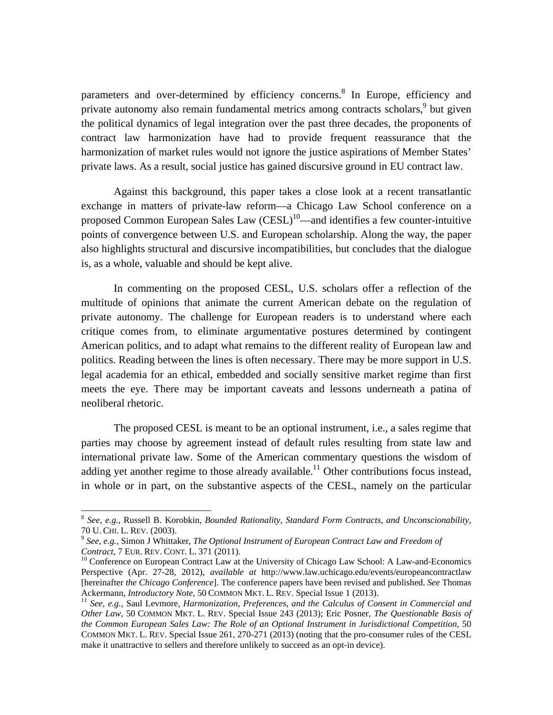parameters and over-determined by efficiency concerns.<sup>8</sup> In Europe, efficiency and private autonomy also remain fundamental metrics among contracts scholars,<sup>9</sup> but given the political dynamics of legal integration over the past three decades, the proponents of contract law harmonization have had to provide frequent reassurance that the harmonization of market rules would not ignore the justice aspirations of Member States' private laws. As a result, social justice has gained discursive ground in EU contract law.

 Against this background, this paper takes a close look at a recent transatlantic exchange in matters of private-law reform—a Chicago Law School conference on a proposed Common European Sales Law (CESL)<sup>10</sup>—and identifies a few counter-intuitive points of convergence between U.S. and European scholarship. Along the way, the paper also highlights structural and discursive incompatibilities, but concludes that the dialogue is, as a whole, valuable and should be kept alive.

 In commenting on the proposed CESL, U.S. scholars offer a reflection of the multitude of opinions that animate the current American debate on the regulation of private autonomy. The challenge for European readers is to understand where each critique comes from, to eliminate argumentative postures determined by contingent American politics, and to adapt what remains to the different reality of European law and politics. Reading between the lines is often necessary. There may be more support in U.S. legal academia for an ethical, embedded and socially sensitive market regime than first meets the eye. There may be important caveats and lessons underneath a patina of neoliberal rhetoric.

 The proposed CESL is meant to be an optional instrument, i.e., a sales regime that parties may choose by agreement instead of default rules resulting from state law and international private law. Some of the American commentary questions the wisdom of adding yet another regime to those already available.<sup>11</sup> Other contributions focus instead, in whole or in part, on the substantive aspects of the CESL, namely on the particular

<sup>8</sup> *See, e.g.*, Russell B. Korobkin, *Bounded Rationality, Standard Form Contracts, and Unconscionability*,

<sup>70</sup> U. CHI. L. REV. (2003).<br><sup>9</sup> See, e.g., Simon J Whittaker, *The Optional Instrument of European Contract Law and Freedom of Contract*, 7 EUR. REV. CONT. L. 371 (2011).

<sup>&</sup>lt;sup>10</sup> Conference on European Contract Law at the University of Chicago Law School: A Law-and-Economics Perspective (Apr. 27-28, 2012), *available at* http://www.law.uchicago.edu/events/europeancontractlaw [hereinafter *the Chicago Conference*]. The conference papers have been revised and published. *See* Thomas Ackermann, *Introductory Note*, 50 COMMON MKT. L. REV. Special Issue 1 (2013).<br><sup>11</sup> *See, e.g.*, Saul Levmore, *Harmonization, Preferences, and the Calculus of Consent in Commercial and* 

*Other Law,* 50 COMMON MKT. L. REV. Special Issue 243 (2013); Eric Posner, *The Questionable Basis of the Common European Sales Law: The Role of an Optional Instrument in Jurisdictional Competition*, 50 COMMON MKT. L. REV. Special Issue 261, 270-271 (2013) (noting that the pro-consumer rules of the CESL make it unattractive to sellers and therefore unlikely to succeed as an opt-in device).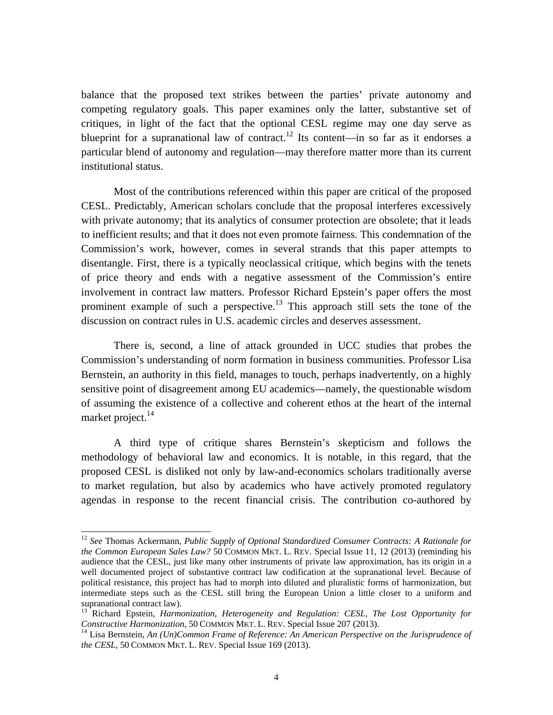balance that the proposed text strikes between the parties' private autonomy and competing regulatory goals. This paper examines only the latter, substantive set of critiques, in light of the fact that the optional CESL regime may one day serve as blueprint for a supranational law of contract.<sup>12</sup> Its content—in so far as it endorses a particular blend of autonomy and regulation—may therefore matter more than its current institutional status.

 Most of the contributions referenced within this paper are critical of the proposed CESL. Predictably, American scholars conclude that the proposal interferes excessively with private autonomy; that its analytics of consumer protection are obsolete; that it leads to inefficient results; and that it does not even promote fairness. This condemnation of the Commission's work, however, comes in several strands that this paper attempts to disentangle. First, there is a typically neoclassical critique, which begins with the tenets of price theory and ends with a negative assessment of the Commission's entire involvement in contract law matters. Professor Richard Epstein's paper offers the most prominent example of such a perspective.<sup>13</sup> This approach still sets the tone of the discussion on contract rules in U.S. academic circles and deserves assessment.

 There is, second, a line of attack grounded in UCC studies that probes the Commission's understanding of norm formation in business communities. Professor Lisa Bernstein, an authority in this field, manages to touch, perhaps inadvertently, on a highly sensitive point of disagreement among EU academics—namely, the questionable wisdom of assuming the existence of a collective and coherent ethos at the heart of the internal market project. $^{14}$ 

 A third type of critique shares Bernstein's skepticism and follows the methodology of behavioral law and economics. It is notable, in this regard, that the proposed CESL is disliked not only by law-and-economics scholars traditionally averse to market regulation, but also by academics who have actively promoted regulatory agendas in response to the recent financial crisis. The contribution co-authored by

<sup>12</sup> *See* Thomas Ackermann, *Public Supply of Optional Standardized Consumer Contracts: A Rationale for the Common European Sales Law?* 50 COMMON MKT. L. REV. Special Issue 11, 12 (2013) (reminding his audience that the CESL, just like many other instruments of private law approximation, has its origin in a well documented project of substantive contract law codification at the supranational level. Because of political resistance, this project has had to morph into diluted and pluralistic forms of harmonization, but intermediate steps such as the CESL still bring the European Union a little closer to a uniform and supranational contract law).

<sup>&</sup>lt;sup>13</sup> Richard Epstein, *Harmonization, Heterogeneity and Regulation: CESL, The Lost Opportunity for Constructive Harmonization*, 50 COMMON MKT. L. REV. Special Issue 207 (2013). 14 Lisa Bernstein, *An (Un)Common Frame of Reference: An American Perspective on the Jurisprudence of* 

*the CESL*, 50 COMMON MKT. L. REV. Special Issue 169 (2013).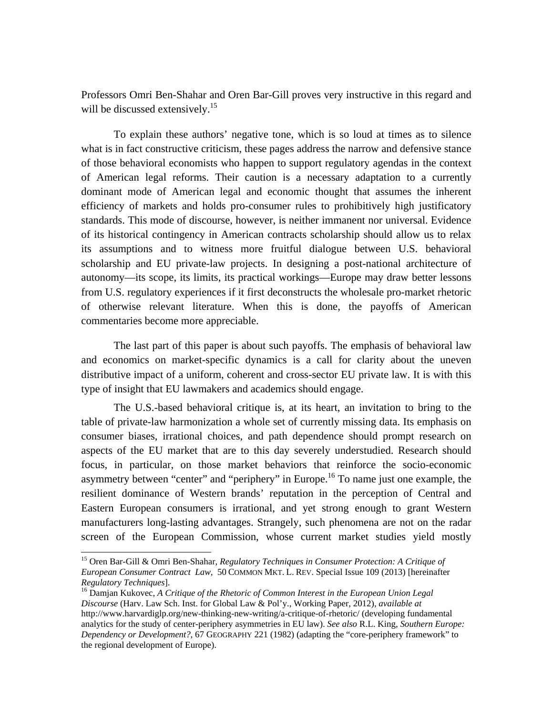Professors Omri Ben-Shahar and Oren Bar-Gill proves very instructive in this regard and will be discussed extensively.<sup>15</sup>

 To explain these authors' negative tone, which is so loud at times as to silence what is in fact constructive criticism, these pages address the narrow and defensive stance of those behavioral economists who happen to support regulatory agendas in the context of American legal reforms. Their caution is a necessary adaptation to a currently dominant mode of American legal and economic thought that assumes the inherent efficiency of markets and holds pro-consumer rules to prohibitively high justificatory standards. This mode of discourse, however, is neither immanent nor universal. Evidence of its historical contingency in American contracts scholarship should allow us to relax its assumptions and to witness more fruitful dialogue between U.S. behavioral scholarship and EU private-law projects. In designing a post-national architecture of autonomy—its scope, its limits, its practical workings—Europe may draw better lessons from U.S. regulatory experiences if it first deconstructs the wholesale pro-market rhetoric of otherwise relevant literature. When this is done, the payoffs of American commentaries become more appreciable.

 The last part of this paper is about such payoffs. The emphasis of behavioral law and economics on market-specific dynamics is a call for clarity about the uneven distributive impact of a uniform, coherent and cross-sector EU private law. It is with this type of insight that EU lawmakers and academics should engage.

 The U.S.-based behavioral critique is, at its heart, an invitation to bring to the table of private-law harmonization a whole set of currently missing data. Its emphasis on consumer biases, irrational choices, and path dependence should prompt research on aspects of the EU market that are to this day severely understudied. Research should focus, in particular, on those market behaviors that reinforce the socio-economic asymmetry between "center" and "periphery" in Europe.<sup>16</sup> To name just one example, the resilient dominance of Western brands' reputation in the perception of Central and Eastern European consumers is irrational, and yet strong enough to grant Western manufacturers long-lasting advantages. Strangely, such phenomena are not on the radar screen of the European Commission, whose current market studies yield mostly

l

<sup>15</sup> Oren Bar-Gill & Omri Ben-Shahar, *Regulatory Techniques in Consumer Protection: A Critique of European Consumer Contract Law*, 50 COMMON MKT. L. REV. Special Issue 109 (2013) [hereinafter *Regulatory Techniques*].<br><sup>16</sup> Damjan Kukovec, *A Critique of the Rhetoric of Common Interest in the European Union Legal* 

*Discourse* (Harv. Law Sch. Inst. for Global Law & Pol'y., Working Paper, 2012), *available at*  http://www.harvardiglp.org/new-thinking-new-writing/a-critique-of-rhetoric/ (developing fundamental analytics for the study of center-periphery asymmetries in EU law). *See also* R.L. King, *Southern Europe: Dependency or Development?*, 67 GEOGRAPHY 221 (1982) (adapting the "core-periphery framework" to the regional development of Europe).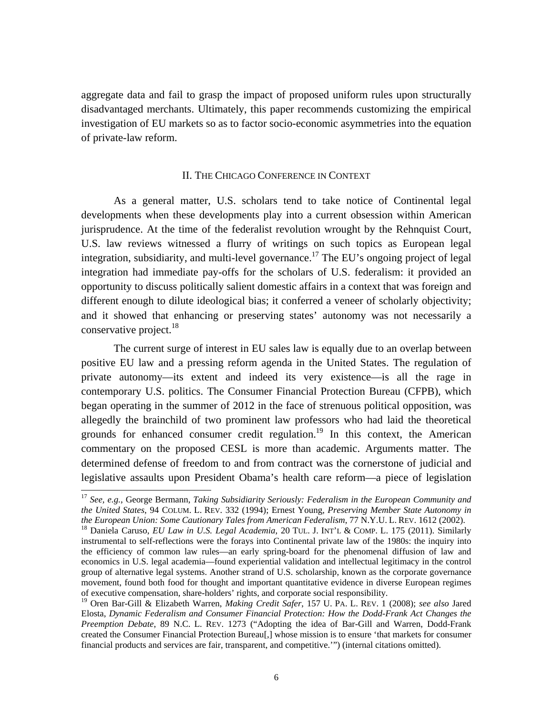aggregate data and fail to grasp the impact of proposed uniform rules upon structurally disadvantaged merchants. Ultimately, this paper recommends customizing the empirical investigation of EU markets so as to factor socio-economic asymmetries into the equation of private-law reform.

#### II. THE CHICAGO CONFERENCE IN CONTEXT

 As a general matter, U.S. scholars tend to take notice of Continental legal developments when these developments play into a current obsession within American jurisprudence. At the time of the federalist revolution wrought by the Rehnquist Court, U.S. law reviews witnessed a flurry of writings on such topics as European legal integration, subsidiarity, and multi-level governance.<sup>17</sup> The EU's ongoing project of legal integration had immediate pay-offs for the scholars of U.S. federalism: it provided an opportunity to discuss politically salient domestic affairs in a context that was foreign and different enough to dilute ideological bias; it conferred a veneer of scholarly objectivity; and it showed that enhancing or preserving states' autonomy was not necessarily a conservative project. $^{18}$ 

 The current surge of interest in EU sales law is equally due to an overlap between positive EU law and a pressing reform agenda in the United States. The regulation of private autonomy—its extent and indeed its very existence—is all the rage in contemporary U.S. politics. The Consumer Financial Protection Bureau (CFPB), which began operating in the summer of 2012 in the face of strenuous political opposition, was allegedly the brainchild of two prominent law professors who had laid the theoretical grounds for enhanced consumer credit regulation.<sup>19</sup> In this context, the American commentary on the proposed CESL is more than academic. Arguments matter. The determined defense of freedom to and from contract was the cornerstone of judicial and legislative assaults upon President Obama's health care reform—a piece of legislation

<sup>17</sup> *See, e.g.*, George Bermann, *Taking Subsidiarity Seriously: Federalism in the European Community and the United States*, 94 COLUM. L. REV. 332 (1994); Ernest Young, *Preserving Member State Autonomy in the European Union: Some Cautionary Tales from American Federalism*, 77 N.Y.U. L. REV. 1612 (2002). 18 Daniela Caruso, *EU Law in U.S. Legal Academia*, 20 TUL. J. INT'L & COMP. L. 175 (2011). Similarly

instrumental to self-reflections were the forays into Continental private law of the 1980s: the inquiry into the efficiency of common law rules—an early spring-board for the phenomenal diffusion of law and economics in U.S. legal academia—found experiential validation and intellectual legitimacy in the control group of alternative legal systems. Another strand of U.S. scholarship, known as the corporate governance movement, found both food for thought and important quantitative evidence in diverse European regimes of executive compensation, share-holders' rights, and corporate social responsibility.

<sup>19</sup> Oren Bar-Gill & Elizabeth Warren, *Making Credit Safer*, 157 U. PA. L. REV. 1 (2008); *see also* Jared Elosta, *Dynamic Federalism and Consumer Financial Protection: How the Dodd-Frank Act Changes the Preemption Debate*, 89 N.C. L. REV. 1273 ("Adopting the idea of Bar-Gill and Warren, Dodd-Frank created the Consumer Financial Protection Bureau[,] whose mission is to ensure 'that markets for consumer financial products and services are fair, transparent, and competitive.'") (internal citations omitted).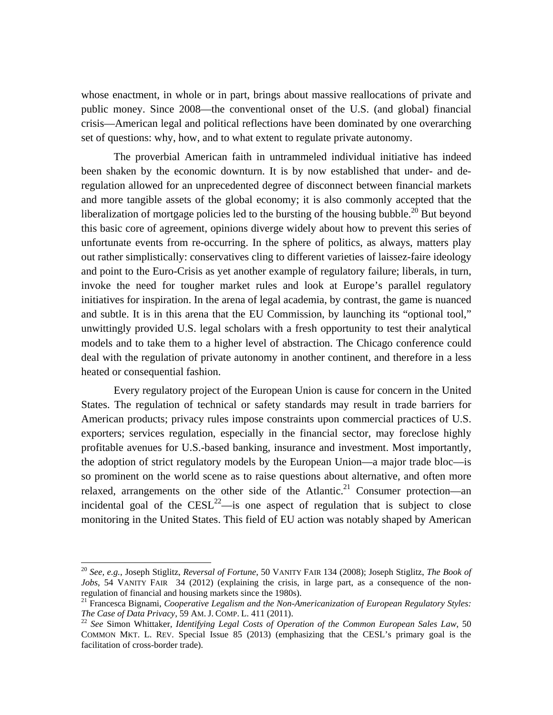whose enactment, in whole or in part, brings about massive reallocations of private and public money. Since 2008—the conventional onset of the U.S. (and global) financial crisis—American legal and political reflections have been dominated by one overarching set of questions: why, how, and to what extent to regulate private autonomy.

 The proverbial American faith in untrammeled individual initiative has indeed been shaken by the economic downturn. It is by now established that under- and deregulation allowed for an unprecedented degree of disconnect between financial markets and more tangible assets of the global economy; it is also commonly accepted that the liberalization of mortgage policies led to the bursting of the housing bubble.<sup>20</sup> But beyond this basic core of agreement, opinions diverge widely about how to prevent this series of unfortunate events from re-occurring. In the sphere of politics, as always, matters play out rather simplistically: conservatives cling to different varieties of laissez-faire ideology and point to the Euro-Crisis as yet another example of regulatory failure; liberals, in turn, invoke the need for tougher market rules and look at Europe's parallel regulatory initiatives for inspiration. In the arena of legal academia, by contrast, the game is nuanced and subtle. It is in this arena that the EU Commission, by launching its "optional tool," unwittingly provided U.S. legal scholars with a fresh opportunity to test their analytical models and to take them to a higher level of abstraction. The Chicago conference could deal with the regulation of private autonomy in another continent, and therefore in a less heated or consequential fashion.

 Every regulatory project of the European Union is cause for concern in the United States. The regulation of technical or safety standards may result in trade barriers for American products; privacy rules impose constraints upon commercial practices of U.S. exporters; services regulation, especially in the financial sector, may foreclose highly profitable avenues for U.S.-based banking, insurance and investment. Most importantly, the adoption of strict regulatory models by the European Union—a major trade bloc—is so prominent on the world scene as to raise questions about alternative, and often more relaxed, arrangements on the other side of the Atlantic.<sup>21</sup> Consumer protection—an incidental goal of the  $CESL^{22}$ —is one aspect of regulation that is subject to close monitoring in the United States. This field of EU action was notably shaped by American

<sup>20</sup> *See, e.g.*, Joseph Stiglitz, *Reversal of Fortune*, 50 VANITY FAIR 134 (2008); Joseph Stiglitz, *The Book of Jobs*, 54 VANITY FAIR 34 (2012) (explaining the crisis, in large part, as a consequence of the nonregulation of financial and housing markets since the 1980s).

<sup>21</sup> Francesca Bignami, *Cooperative Legalism and the Non-Americanization of European Regulatory Styles: The Case of Data Privacy*, 59 AM. J. COMP. L. 411 (2011). 22 *See* Simon Whittaker, *Identifying Legal Costs of Operation of the Common European Sales Law*, 50

COMMON MKT. L. REV. Special Issue 85 (2013) (emphasizing that the CESL's primary goal is the facilitation of cross-border trade).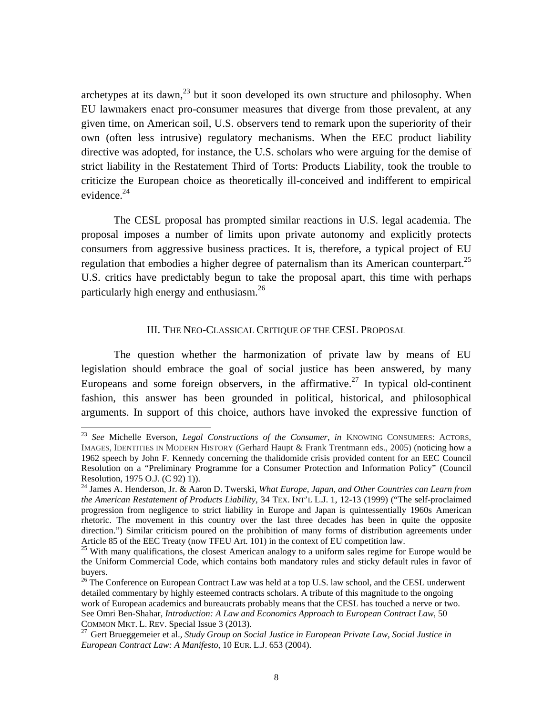archetypes at its dawn,  $^{23}$  but it soon developed its own structure and philosophy. When EU lawmakers enact pro-consumer measures that diverge from those prevalent, at any given time, on American soil, U.S. observers tend to remark upon the superiority of their own (often less intrusive) regulatory mechanisms. When the EEC product liability directive was adopted, for instance, the U.S. scholars who were arguing for the demise of strict liability in the Restatement Third of Torts: Products Liability, took the trouble to criticize the European choice as theoretically ill-conceived and indifferent to empirical evidence. $24$ 

 The CESL proposal has prompted similar reactions in U.S. legal academia. The proposal imposes a number of limits upon private autonomy and explicitly protects consumers from aggressive business practices. It is, therefore, a typical project of EU regulation that embodies a higher degree of paternalism than its American counterpart.<sup>25</sup> U.S. critics have predictably begun to take the proposal apart, this time with perhaps particularly high energy and enthusiasm.26

#### III. THE NEO-CLASSICAL CRITIQUE OF THE CESL PROPOSAL

 The question whether the harmonization of private law by means of EU legislation should embrace the goal of social justice has been answered, by many Europeans and some foreign observers, in the affirmative.<sup>27</sup> In typical old-continent fashion, this answer has been grounded in political, historical, and philosophical arguments. In support of this choice, authors have invoked the expressive function of

<sup>23</sup> *See* Michelle Everson, *Legal Constructions of the Consumer*, *in* KNOWING CONSUMERS: ACTORS, IMAGES, IDENTITIES IN MODERN HISTORY (Gerhard Haupt & Frank Trentmann eds., 2005) (noticing how a 1962 speech by John F. Kennedy concerning the thalidomide crisis provided content for an EEC Council Resolution on a "Preliminary Programme for a Consumer Protection and Information Policy" (Council Resolution, 1975 O.J. (C 92) 1)).

<sup>24</sup> James A. Henderson, Jr. & Aaron D. Twerski, *What Europe, Japan, and Other Countries can Learn from the American Restatement of Products Liability*, 34 TEX. INT'L L.J. 1, 12-13 (1999) ("The self-proclaimed progression from negligence to strict liability in Europe and Japan is quintessentially 1960s American rhetoric. The movement in this country over the last three decades has been in quite the opposite direction.") Similar criticism poured on the prohibition of many forms of distribution agreements under Article 85 of the EEC Treaty (now TFEU Art. 101) in the context of EU competition law.<br><sup>25</sup> With many qualifications, the closest American analogy to a uniform sales regime for Europe would be

the Uniform Commercial Code, which contains both mandatory rules and sticky default rules in favor of buyers.

<sup>&</sup>lt;sup>26</sup> The Conference on European Contract Law was held at a top U.S. law school, and the CESL underwent detailed commentary by highly esteemed contracts scholars. A tribute of this magnitude to the ongoing work of European academics and bureaucrats probably means that the CESL has touched a nerve or two. See Omri Ben-Shahar, *Introduction: A Law and Economics Approach to European Contract Law*, 50 COMMON MKT. L. REV. Special Issue 3 (2013). 27 Gert Brueggemeier et al., *Study Group on Social Justice in European Private Law, Social Justice in* 

*European Contract Law: A Manifesto*, 10 EUR. L.J. 653 (2004).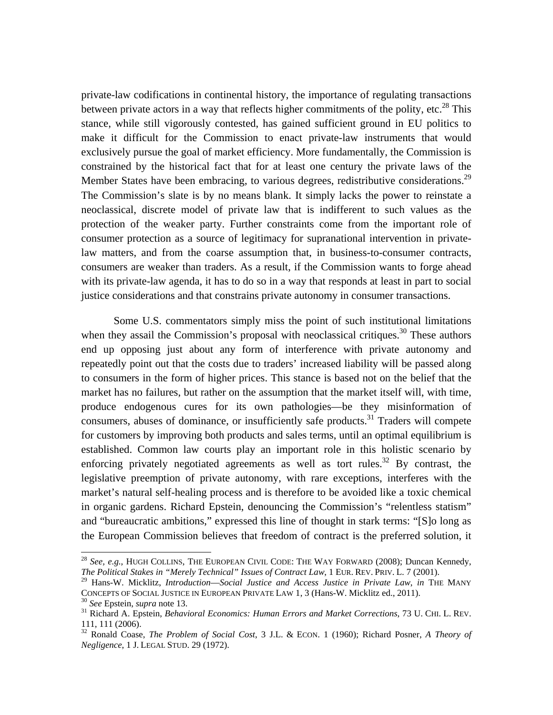private-law codifications in continental history, the importance of regulating transactions between private actors in a way that reflects higher commitments of the polity, etc.<sup>28</sup> This stance, while still vigorously contested, has gained sufficient ground in EU politics to make it difficult for the Commission to enact private-law instruments that would exclusively pursue the goal of market efficiency. More fundamentally, the Commission is constrained by the historical fact that for at least one century the private laws of the Member States have been embracing, to various degrees, redistributive considerations.<sup>29</sup> The Commission's slate is by no means blank. It simply lacks the power to reinstate a neoclassical, discrete model of private law that is indifferent to such values as the protection of the weaker party. Further constraints come from the important role of consumer protection as a source of legitimacy for supranational intervention in privatelaw matters, and from the coarse assumption that, in business-to-consumer contracts, consumers are weaker than traders. As a result, if the Commission wants to forge ahead with its private-law agenda, it has to do so in a way that responds at least in part to social justice considerations and that constrains private autonomy in consumer transactions.

 Some U.S. commentators simply miss the point of such institutional limitations when they assail the Commission's proposal with neoclassical critiques.<sup>30</sup> These authors end up opposing just about any form of interference with private autonomy and repeatedly point out that the costs due to traders' increased liability will be passed along to consumers in the form of higher prices. This stance is based not on the belief that the market has no failures, but rather on the assumption that the market itself will, with time, produce endogenous cures for its own pathologies—be they misinformation of consumers, abuses of dominance, or insufficiently safe products.<sup>31</sup> Traders will compete for customers by improving both products and sales terms, until an optimal equilibrium is established. Common law courts play an important role in this holistic scenario by enforcing privately negotiated agreements as well as tort rules.<sup>32</sup> By contrast, the legislative preemption of private autonomy, with rare exceptions, interferes with the market's natural self-healing process and is therefore to be avoided like a toxic chemical in organic gardens. Richard Epstein, denouncing the Commission's "relentless statism" and "bureaucratic ambitions," expressed this line of thought in stark terms: "[S]o long as the European Commission believes that freedom of contract is the preferred solution, it

l

<sup>28</sup> *See, e.g.*, HUGH COLLINS, THE EUROPEAN CIVIL CODE: THE WAY FORWARD (2008); Duncan Kennedy, *The Political Stakes in "Merely Technical" Issues of Contract Law*, 1 EUR. REV. PRIV. L. 7 (2001).

<sup>&</sup>lt;sup>29</sup> Hans-W. Micklitz, *Introduction—Social Justice and Access Justice in Private Law*, *in* THE MANY CONCEPTS OF SOCIAL JUSTICE IN EUROPEAN PRIVATE LAW 1, 3 (Hans-W. Micklitz ed., 2011).

 $\frac{30}{31}$  See Epstein, supra note 13.<br><sup>31</sup> Richard A. Epstein, *Behavioral Economics: Human Errors and Market Corrections*, 73 U. CHI. L. REV. 111, 111 (2006).

<sup>32</sup> Ronald Coase, *The Problem of Social Cost*, 3 J.L. & ECON. 1 (1960); Richard Posner, *A Theory of Negligence*, 1 J. LEGAL STUD. 29 (1972).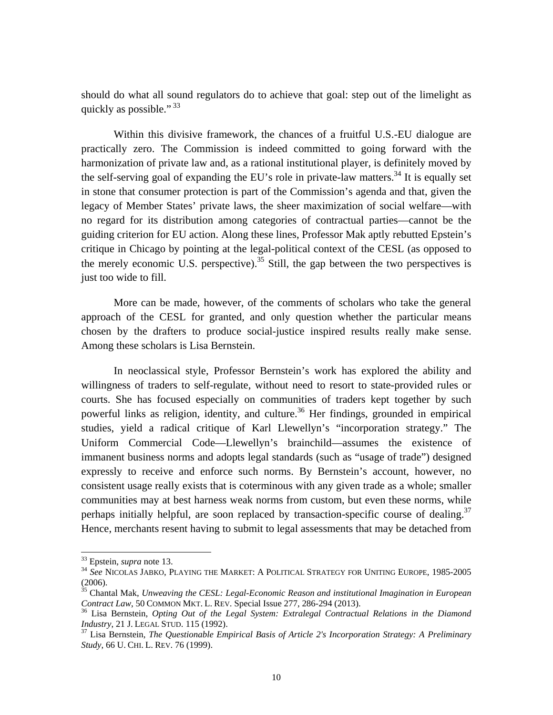should do what all sound regulators do to achieve that goal: step out of the limelight as quickly as possible."  $33$ 

 Within this divisive framework, the chances of a fruitful U.S.-EU dialogue are practically zero. The Commission is indeed committed to going forward with the harmonization of private law and, as a rational institutional player, is definitely moved by the self-serving goal of expanding the EU's role in private-law matters.<sup>34</sup> It is equally set in stone that consumer protection is part of the Commission's agenda and that, given the legacy of Member States' private laws, the sheer maximization of social welfare—with no regard for its distribution among categories of contractual parties—cannot be the guiding criterion for EU action. Along these lines, Professor Mak aptly rebutted Epstein's critique in Chicago by pointing at the legal-political context of the CESL (as opposed to the merely economic U.S. perspective).<sup>35</sup> Still, the gap between the two perspectives is just too wide to fill.

 More can be made, however, of the comments of scholars who take the general approach of the CESL for granted, and only question whether the particular means chosen by the drafters to produce social-justice inspired results really make sense. Among these scholars is Lisa Bernstein.

 In neoclassical style, Professor Bernstein's work has explored the ability and willingness of traders to self-regulate, without need to resort to state-provided rules or courts. She has focused especially on communities of traders kept together by such powerful links as religion, identity, and culture.<sup>36</sup> Her findings, grounded in empirical studies, yield a radical critique of Karl Llewellyn's "incorporation strategy." The Uniform Commercial Code—Llewellyn's brainchild—assumes the existence of immanent business norms and adopts legal standards (such as "usage of trade") designed expressly to receive and enforce such norms. By Bernstein's account, however, no consistent usage really exists that is coterminous with any given trade as a whole; smaller communities may at best harness weak norms from custom, but even these norms, while perhaps initially helpful, are soon replaced by transaction-specific course of dealing.<sup>37</sup> Hence, merchants resent having to submit to legal assessments that may be detached from

<sup>&</sup>lt;sup>33</sup> Epstein, *supra* note 13.

<sup>&</sup>lt;sup>34</sup> See NICOLAS JABKO, PLAYING THE MARKET: A POLITICAL STRATEGY FOR UNITING EUROPE, 1985-2005 (2006).

<sup>&</sup>lt;sup>35</sup> Chantal Mak, *Unweaving the CESL: Legal-Economic Reason and institutional Imagination in European Contract Law, 50 COMMON MKT. L. REV. Special Issue 277, 286-294 (2013).* 

<sup>&</sup>lt;sup>36</sup> Lisa Bernstein, *Opting Out of the Legal System: Extralegal Contractual Relations in the Diamond Industry, 21 J. LEGAL STUD. 115 (1992).* 

<sup>&</sup>lt;sup>37</sup> Lisa Bernstein, *The Questionable Empirical Basis of Article 2's Incorporation Strategy: A Preliminary Study*, 66 U. CHI. L. REV. 76 (1999).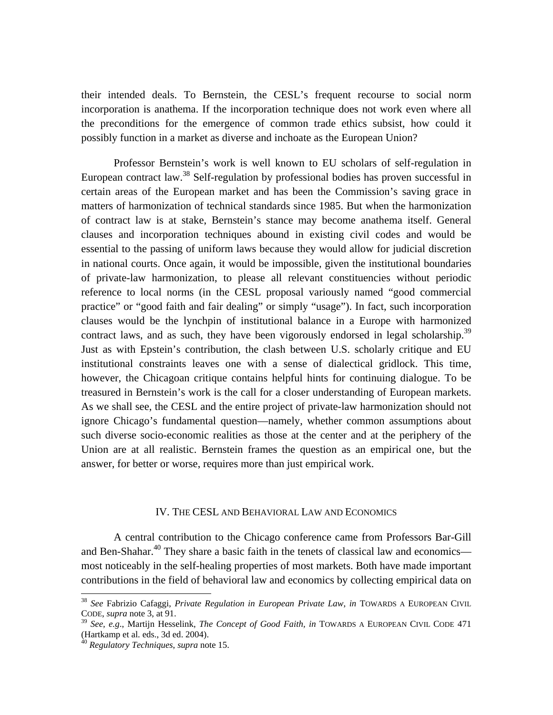their intended deals. To Bernstein, the CESL's frequent recourse to social norm incorporation is anathema. If the incorporation technique does not work even where all the preconditions for the emergence of common trade ethics subsist, how could it possibly function in a market as diverse and inchoate as the European Union?

 Professor Bernstein's work is well known to EU scholars of self-regulation in European contract law.<sup>38</sup> Self-regulation by professional bodies has proven successful in certain areas of the European market and has been the Commission's saving grace in matters of harmonization of technical standards since 1985. But when the harmonization of contract law is at stake, Bernstein's stance may become anathema itself. General clauses and incorporation techniques abound in existing civil codes and would be essential to the passing of uniform laws because they would allow for judicial discretion in national courts. Once again, it would be impossible, given the institutional boundaries of private-law harmonization, to please all relevant constituencies without periodic reference to local norms (in the CESL proposal variously named "good commercial practice" or "good faith and fair dealing" or simply "usage"). In fact, such incorporation clauses would be the lynchpin of institutional balance in a Europe with harmonized contract laws, and as such, they have been vigorously endorsed in legal scholarship.<sup>39</sup> Just as with Epstein's contribution, the clash between U.S. scholarly critique and EU institutional constraints leaves one with a sense of dialectical gridlock. This time, however, the Chicagoan critique contains helpful hints for continuing dialogue. To be treasured in Bernstein's work is the call for a closer understanding of European markets. As we shall see, the CESL and the entire project of private-law harmonization should not ignore Chicago's fundamental question—namely, whether common assumptions about such diverse socio-economic realities as those at the center and at the periphery of the Union are at all realistic. Bernstein frames the question as an empirical one, but the answer, for better or worse, requires more than just empirical work.

#### IV. THE CESL AND BEHAVIORAL LAW AND ECONOMICS

 A central contribution to the Chicago conference came from Professors Bar-Gill and Ben-Shahar. $40$  They share a basic faith in the tenets of classical law and economics most noticeably in the self-healing properties of most markets. Both have made important contributions in the field of behavioral law and economics by collecting empirical data on

<sup>38</sup> *See* Fabrizio Cafaggi, *Private Regulation in European Private Law*, *in* TOWARDS A EUROPEAN CIVIL CODE, *supra* note 3, at 91.

<sup>39</sup> *See, e.g*., Martijn Hesselink, *The Concept of Good Faith, in* TOWARDS A EUROPEAN CIVIL CODE 471 (Hartkamp et al. eds., 3d ed. 2004).

<sup>40</sup> *Regulatory Techniques*, *supra* note 15.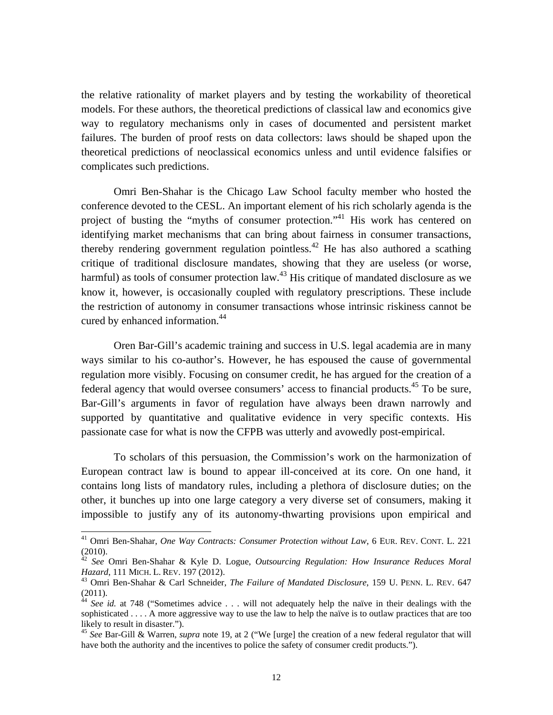the relative rationality of market players and by testing the workability of theoretical models. For these authors, the theoretical predictions of classical law and economics give way to regulatory mechanisms only in cases of documented and persistent market failures. The burden of proof rests on data collectors: laws should be shaped upon the theoretical predictions of neoclassical economics unless and until evidence falsifies or complicates such predictions.

 Omri Ben-Shahar is the Chicago Law School faculty member who hosted the conference devoted to the CESL. An important element of his rich scholarly agenda is the project of busting the "myths of consumer protection."41 His work has centered on identifying market mechanisms that can bring about fairness in consumer transactions, thereby rendering government regulation pointless.<sup>42</sup> He has also authored a scathing critique of traditional disclosure mandates, showing that they are useless (or worse, harmful) as tools of consumer protection law.<sup>43</sup> His critique of mandated disclosure as we know it, however, is occasionally coupled with regulatory prescriptions. These include the restriction of autonomy in consumer transactions whose intrinsic riskiness cannot be cured by enhanced information.<sup>44</sup>

 Oren Bar-Gill's academic training and success in U.S. legal academia are in many ways similar to his co-author's. However, he has espoused the cause of governmental regulation more visibly. Focusing on consumer credit, he has argued for the creation of a federal agency that would oversee consumers' access to financial products.<sup>45</sup> To be sure, Bar-Gill's arguments in favor of regulation have always been drawn narrowly and supported by quantitative and qualitative evidence in very specific contexts. His passionate case for what is now the CFPB was utterly and avowedly post-empirical.

 To scholars of this persuasion, the Commission's work on the harmonization of European contract law is bound to appear ill-conceived at its core. On one hand, it contains long lists of mandatory rules, including a plethora of disclosure duties; on the other, it bunches up into one large category a very diverse set of consumers, making it impossible to justify any of its autonomy-thwarting provisions upon empirical and

<sup>41</sup> Omri Ben-Shahar, *One Way Contracts: Consumer Protection without Law*, 6 EUR. REV. CONT. L. 221 (2010).

<sup>42</sup> *See* Omri Ben-Shahar & Kyle D. Logue, *Outsourcing Regulation: How Insurance Reduces Moral Hazard*, 111 MICH. L. REV. 197 (2012).<br><sup>43</sup> Omri Ben-Shahar & Carl Schneider, *The Failure of Mandated Disclosure*, 159 U. PENN. L. REV. 647

<sup>(2011).</sup> 

<sup>&</sup>lt;sup>44</sup> *See id.* at 748 ("Sometimes advice . . . will not adequately help the naïve in their dealings with the sophisticated . . . . A more aggressive way to use the law to help the naïve is to outlaw practices that are too likely to result in disaster.").

<sup>45</sup> *See* Bar-Gill & Warren, *supra* note 19, at 2 ("We [urge] the creation of a new federal regulator that will have both the authority and the incentives to police the safety of consumer credit products.").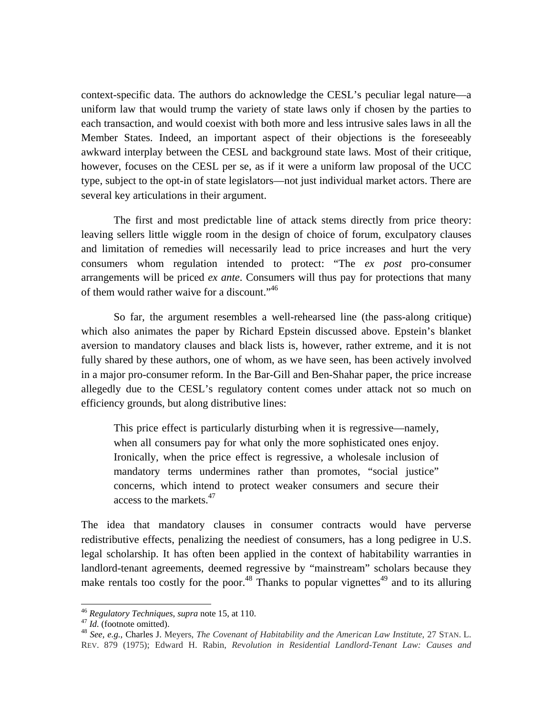context-specific data. The authors do acknowledge the CESL's peculiar legal nature—a uniform law that would trump the variety of state laws only if chosen by the parties to each transaction, and would coexist with both more and less intrusive sales laws in all the Member States. Indeed, an important aspect of their objections is the foreseeably awkward interplay between the CESL and background state laws. Most of their critique, however, focuses on the CESL per se, as if it were a uniform law proposal of the UCC type, subject to the opt-in of state legislators—not just individual market actors. There are several key articulations in their argument.

 The first and most predictable line of attack stems directly from price theory: leaving sellers little wiggle room in the design of choice of forum, exculpatory clauses and limitation of remedies will necessarily lead to price increases and hurt the very consumers whom regulation intended to protect: "The *ex post* pro-consumer arrangements will be priced *ex ante*. Consumers will thus pay for protections that many of them would rather waive for a discount."46

 So far, the argument resembles a well-rehearsed line (the pass-along critique) which also animates the paper by Richard Epstein discussed above. Epstein's blanket aversion to mandatory clauses and black lists is, however, rather extreme, and it is not fully shared by these authors, one of whom, as we have seen, has been actively involved in a major pro-consumer reform. In the Bar-Gill and Ben-Shahar paper, the price increase allegedly due to the CESL's regulatory content comes under attack not so much on efficiency grounds, but along distributive lines:

This price effect is particularly disturbing when it is regressive—namely, when all consumers pay for what only the more sophisticated ones enjoy. Ironically, when the price effect is regressive, a wholesale inclusion of mandatory terms undermines rather than promotes, "social justice" concerns, which intend to protect weaker consumers and secure their access to the markets.<sup>47</sup>

The idea that mandatory clauses in consumer contracts would have perverse redistributive effects, penalizing the neediest of consumers, has a long pedigree in U.S. legal scholarship. It has often been applied in the context of habitability warranties in landlord-tenant agreements, deemed regressive by "mainstream" scholars because they make rentals too costly for the poor.<sup>48</sup> Thanks to popular vignettes<sup>49</sup> and to its alluring

<sup>&</sup>lt;sup>46</sup> *Regulatory Techniques, supra* note 15, at 110.<br><sup>47</sup> *Id.* (footnote omitted). <sup>48</sup> *See, e.g., Charles J. Meyers, The Covenant of Habitability and the American Law Institute, 27 STAN. L.* REV. 879 (1975); Edward H. Rabin, *Re*v*olution in Residential Landlord-Tenant Law: Causes and*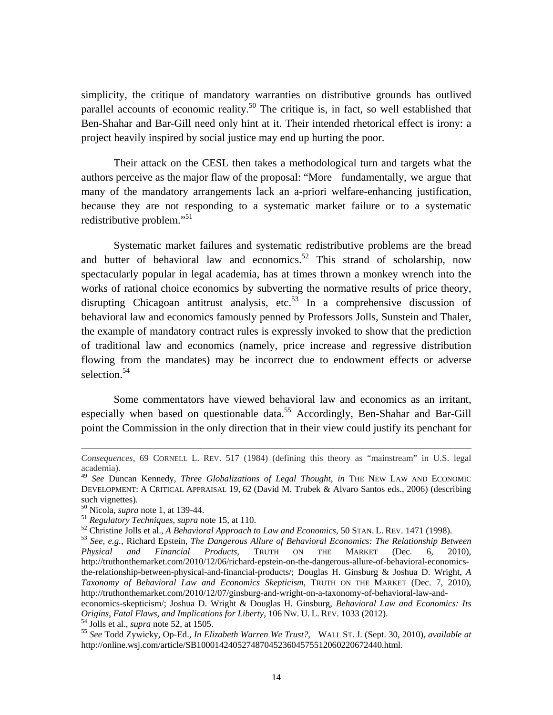simplicity, the critique of mandatory warranties on distributive grounds has outlived parallel accounts of economic reality.<sup>50</sup> The critique is, in fact, so well established that Ben-Shahar and Bar-Gill need only hint at it. Their intended rhetorical effect is irony: a project heavily inspired by social justice may end up hurting the poor.

 Their attack on the CESL then takes a methodological turn and targets what the authors perceive as the major flaw of the proposal: "More fundamentally, we argue that many of the mandatory arrangements lack an a-priori welfare-enhancing justification, because they are not responding to a systematic market failure or to a systematic redistributive problem."51

 Systematic market failures and systematic redistributive problems are the bread and butter of behavioral law and economics.<sup>52</sup> This strand of scholarship, now spectacularly popular in legal academia, has at times thrown a monkey wrench into the works of rational choice economics by subverting the normative results of price theory, disrupting Chicagoan antitrust analysis, etc.<sup>53</sup> In a comprehensive discussion of behavioral law and economics famously penned by Professors Jolls, Sunstein and Thaler, the example of mandatory contract rules is expressly invoked to show that the prediction of traditional law and economics (namely, price increase and regressive distribution flowing from the mandates) may be incorrect due to endowment effects or adverse selection.<sup>54</sup>

 Some commentators have viewed behavioral law and economics as an irritant, especially when based on questionable data.<sup>55</sup> Accordingly, Ben-Shahar and Bar-Gill point the Commission in the only direction that in their view could justify its penchant for

*Consequences*, 69 CORNELL L. REV. 517 (1984) (defining this theory as "mainstream" in U.S. legal academia).

<sup>49</sup> *See* Duncan Kennedy, *Three Globalizations of Legal Thought*, *in* THE NEW LAW AND ECONOMIC DEVELOPMENT: A CRITICAL APPRAISAL 19, 62 (David M. Trubek & Alvaro Santos eds., 2006) (describing such vignettes).<br> $50$  Nicola, *supra* note 1, at 139-44.

<sup>&</sup>lt;sup>51</sup> Regulatory Techniques, supra note 15, at 110.<br><sup>52</sup> Christine Jolls et al., *A Behavioral Approach to Law and Economics*, 50 STAN. L. REV. 1471 (1998).<br><sup>53</sup> See, e.g., Richard Epstein, *The Dangerous Allure of Behavio Physical and Financial Products*, TRUTH ON THE MARKET (Dec. 6, 2010), http://truthonthemarket.com/2010/12/06/richard-epstein-on-the-dangerous-allure-of-behavioral-economicsthe-relationship-between-physical-and-financial-products/; Douglas H. Ginsburg & Joshua D. Wright, *A Taxonomy of Behavioral Law and Economics Skepticism*, TRUTH ON THE MARKET (Dec. 7, 2010), http://truthonthemarket.com/2010/12/07/ginsburg-and-wright-on-a-taxonomy-of-behavioral-law-and-

economics-skepticism/; Joshua D. Wright & Douglas H. Ginsburg, *Behavioral Law and Economics: Its*  Origins, Fatal Flaws, and Implications for Liberty, 106 Nw. U. L. REV. 1033 (2012).<br><sup>54</sup> Jolls et al., *supra* note 52, at 1505.<br><sup>55</sup> See Todd Zywicky, Op-Ed., *In Elizabeth Warren We Trust?*, WALL ST. J. (Sept. 30, 2010),

http://online.wsj.com/article/SB10001424052748704523604575512060220672440.html.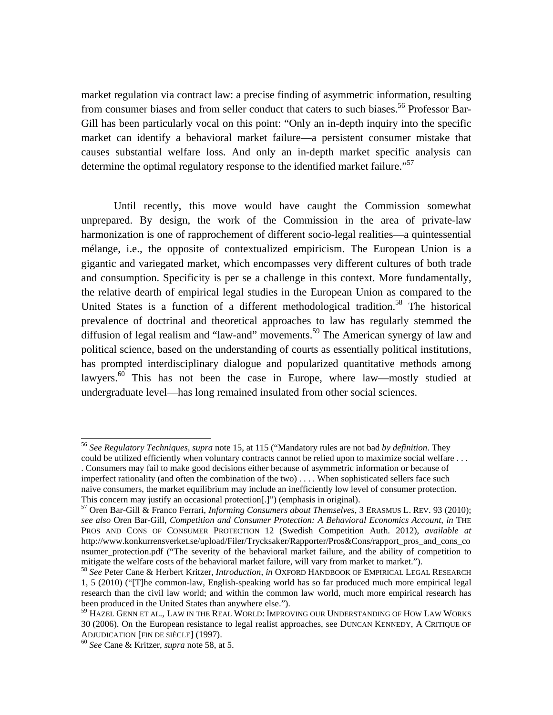market regulation via contract law: a precise finding of asymmetric information, resulting from consumer biases and from seller conduct that caters to such biases.<sup>56</sup> Professor Bar-Gill has been particularly vocal on this point: "Only an in-depth inquiry into the specific market can identify a behavioral market failure—a persistent consumer mistake that causes substantial welfare loss. And only an in-depth market specific analysis can determine the optimal regulatory response to the identified market failure."<sup>57</sup>

 Until recently, this move would have caught the Commission somewhat unprepared. By design, the work of the Commission in the area of private-law harmonization is one of rapprochement of different socio-legal realities—a quintessential mélange, i.e., the opposite of contextualized empiricism. The European Union is a gigantic and variegated market, which encompasses very different cultures of both trade and consumption. Specificity is per se a challenge in this context. More fundamentally, the relative dearth of empirical legal studies in the European Union as compared to the United States is a function of a different methodological tradition.<sup>58</sup> The historical prevalence of doctrinal and theoretical approaches to law has regularly stemmed the diffusion of legal realism and "law-and" movements.<sup>59</sup> The American synergy of law and political science, based on the understanding of courts as essentially political institutions, has prompted interdisciplinary dialogue and popularized quantitative methods among lawyers. $60$  This has not been the case in Europe, where law—mostly studied at undergraduate level—has long remained insulated from other social sciences.

<sup>56</sup> *See Regulatory Techniques, supra* note 15, at 115 ("Mandatory rules are not bad *by definition*. They could be utilized efficiently when voluntary contracts cannot be relied upon to maximize social welfare . . .

<sup>.</sup> Consumers may fail to make good decisions either because of asymmetric information or because of imperfect rationality (and often the combination of the two) . . . . When sophisticated sellers face such naive consumers, the market equilibrium may include an inefficiently low level of consumer protection.

This concern may justify an occasional protection[.]") (emphasis in original). 57 Oren Bar-Gill & Franco Ferrari, *Informing Consumers about Themselves*, 3 ERASMUS L. REV. 93 (2010); *see also* Oren Bar-Gill, *Competition and Consumer Protection: A Behavioral Economics Account*, *in* THE PROS AND CONS OF CONSUMER PROTECTION 12 (Swedish Competition Auth. 2012), *available at*  http://www.konkurrensverket.se/upload/Filer/Trycksaker/Rapporter/Pros&Cons/rapport\_pros\_and\_cons\_co nsumer\_protection.pdf ("The severity of the behavioral market failure, and the ability of competition to mitigate the welfare costs of the behavioral market failure, will vary from market to market.").

<sup>&</sup>lt;sup>58</sup> See Peter Cane & Herbert Kritzer, *Introduction*, *in* OXFORD HANDBOOK OF EMPIRICAL LEGAL RESEARCH 1, 5 (2010) ("[T]he common-law, English-speaking world has so far produced much more empirical legal research than the civil law world; and within the common law world, much more empirical research has been produced in the United States than anywhere else.").

<sup>59</sup> HAZEL GENN ET AL., LAW IN THE REAL WORLD: IMPROVING OUR UNDERSTANDING OF HOW LAW WORKS 30 (2006). On the European resistance to legal realist approaches, see DUNCAN KENNEDY, A CRITIQUE OF ADJUDICATION [FIN DE SIÈCLE] (1997). 60 *See* Cane & Kritzer, *supra* note 58, at 5.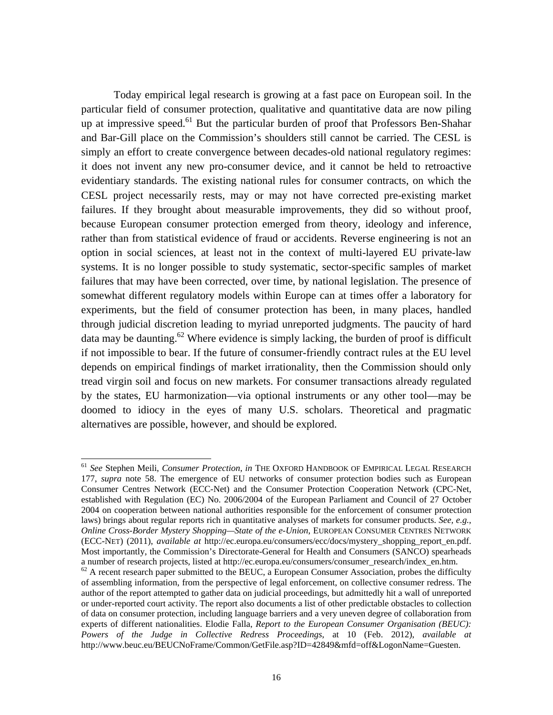Today empirical legal research is growing at a fast pace on European soil. In the particular field of consumer protection, qualitative and quantitative data are now piling up at impressive speed.<sup>61</sup> But the particular burden of proof that Professors Ben-Shahar and Bar-Gill place on the Commission's shoulders still cannot be carried. The CESL is simply an effort to create convergence between decades-old national regulatory regimes: it does not invent any new pro-consumer device, and it cannot be held to retroactive evidentiary standards. The existing national rules for consumer contracts, on which the CESL project necessarily rests, may or may not have corrected pre-existing market failures. If they brought about measurable improvements, they did so without proof, because European consumer protection emerged from theory, ideology and inference, rather than from statistical evidence of fraud or accidents. Reverse engineering is not an option in social sciences, at least not in the context of multi-layered EU private-law systems. It is no longer possible to study systematic, sector-specific samples of market failures that may have been corrected, over time, by national legislation. The presence of somewhat different regulatory models within Europe can at times offer a laboratory for experiments, but the field of consumer protection has been, in many places, handled through judicial discretion leading to myriad unreported judgments. The paucity of hard data may be daunting.<sup>62</sup> Where evidence is simply lacking, the burden of proof is difficult if not impossible to bear. If the future of consumer-friendly contract rules at the EU level depends on empirical findings of market irrationality, then the Commission should only tread virgin soil and focus on new markets. For consumer transactions already regulated by the states, EU harmonization—via optional instruments or any other tool—may be doomed to idiocy in the eyes of many U.S. scholars. Theoretical and pragmatic alternatives are possible, however, and should be explored.

<sup>61</sup> *See* Stephen Meili, *Consumer Protection*, *in* THE OXFORD HANDBOOK OF EMPIRICAL LEGAL RESEARCH 177, *supra* note 58. The emergence of EU networks of consumer protection bodies such as European Consumer Centres Network (ECC-Net) and the Consumer Protection Cooperation Network (CPC-Net, established with Regulation (EC) No. 2006/2004 of the European Parliament and Council of 27 October 2004 on cooperation between national authorities responsible for the enforcement of consumer protection laws) brings about regular reports rich in quantitative analyses of markets for consumer products. *See, e.g.*, *Online Cross-Border Mystery Shopping—State of the e-Union*, EUROPEAN CONSUMER CENTRES NETWORK (ECC-NET) (2011), *available at* http://ec.europa.eu/consumers/ecc/docs/mystery\_shopping\_report\_en.pdf. Most importantly, the Commission's Directorate-General for Health and Consumers (SANCO) spearheads a number of research projects, listed at http://ec.europa.eu/consumers/consumer\_research/index\_en.htm.  $62$  A recent research paper submitted to the BEUC, a European Consumer Association, probes the difficulty

of assembling information, from the perspective of legal enforcement, on collective consumer redress. The author of the report attempted to gather data on judicial proceedings, but admittedly hit a wall of unreported or under-reported court activity. The report also documents a list of other predictable obstacles to collection of data on consumer protection, including language barriers and a very uneven degree of collaboration from experts of different nationalities. Elodie Falla, *Report to the European Consumer Organisation (BEUC): Powers of the Judge in Collective Redress Proceedings*, at 10 (Feb. 2012), *available at* http://www.beuc.eu/BEUCNoFrame/Common/GetFile.asp?ID=42849&mfd=off&LogonName=Guesten.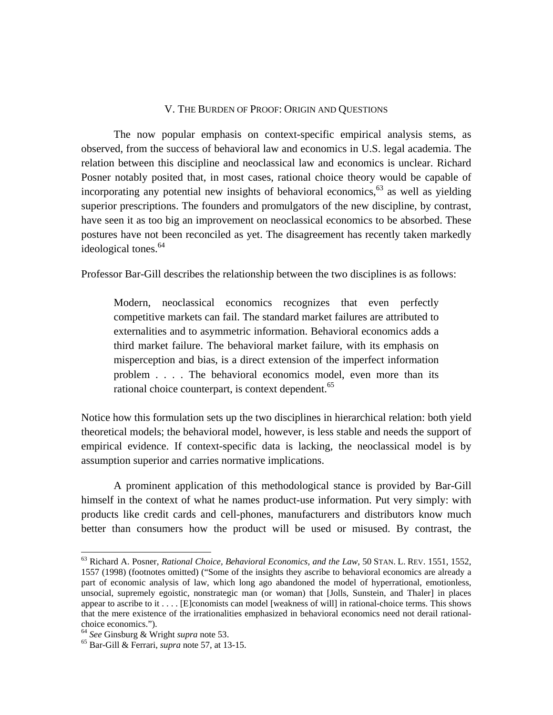#### V. THE BURDEN OF PROOF: ORIGIN AND QUESTIONS

 The now popular emphasis on context-specific empirical analysis stems, as observed, from the success of behavioral law and economics in U.S. legal academia. The relation between this discipline and neoclassical law and economics is unclear. Richard Posner notably posited that, in most cases, rational choice theory would be capable of incorporating any potential new insights of behavioral economics, $63$  as well as yielding superior prescriptions. The founders and promulgators of the new discipline, by contrast, have seen it as too big an improvement on neoclassical economics to be absorbed. These postures have not been reconciled as yet. The disagreement has recently taken markedly ideological tones.<sup>64</sup>

Professor Bar-Gill describes the relationship between the two disciplines is as follows:

Modern, neoclassical economics recognizes that even perfectly competitive markets can fail. The standard market failures are attributed to externalities and to asymmetric information. Behavioral economics adds a third market failure. The behavioral market failure, with its emphasis on misperception and bias, is a direct extension of the imperfect information problem . . . . The behavioral economics model, even more than its rational choice counterpart, is context dependent.<sup>65</sup>

Notice how this formulation sets up the two disciplines in hierarchical relation: both yield theoretical models; the behavioral model, however, is less stable and needs the support of empirical evidence. If context-specific data is lacking, the neoclassical model is by assumption superior and carries normative implications.

 A prominent application of this methodological stance is provided by Bar-Gill himself in the context of what he names product-use information. Put very simply: with products like credit cards and cell-phones, manufacturers and distributors know much better than consumers how the product will be used or misused. By contrast, the

l

<sup>63</sup> Richard A. Posner, *Rational Choice, Behavioral Economics, and the Law*, 50 STAN. L. REV. 1551, 1552, 1557 (1998) (footnotes omitted) ("Some of the insights they ascribe to behavioral economics are already a part of economic analysis of law, which long ago abandoned the model of hyperrational, emotionless, unsocial, supremely egoistic, nonstrategic man (or woman) that [Jolls, Sunstein, and Thaler] in places appear to ascribe to it . . . . [E]conomists can model [weakness of will] in rational-choice terms. This shows that the mere existence of the irrationalities emphasized in behavioral economics need not derail rationalchoice economics.").<br><sup>64</sup> See Ginsburg & Wright supra note 53.

<sup>&</sup>lt;sup>65</sup> Bar-Gill & Ferrari, *supra* note 57, at 13-15.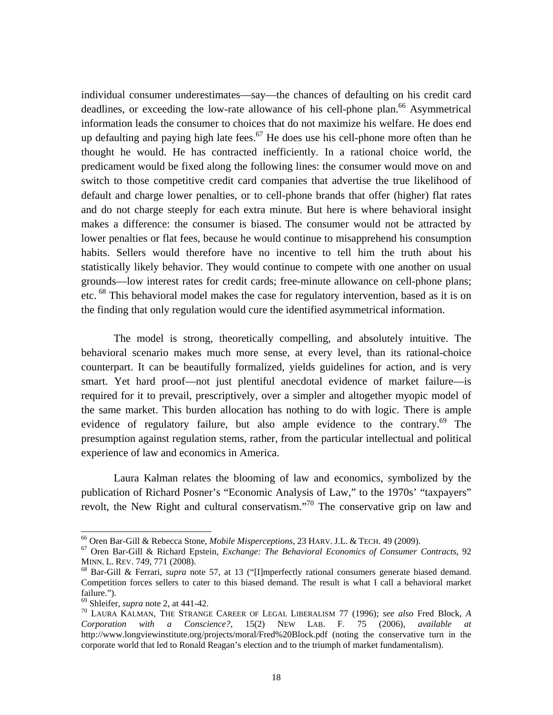individual consumer underestimates—say—the chances of defaulting on his credit card deadlines, or exceeding the low-rate allowance of his cell-phone plan.<sup>66</sup> Asymmetrical information leads the consumer to choices that do not maximize his welfare. He does end up defaulting and paying high late fees.<sup>67</sup> He does use his cell-phone more often than he thought he would. He has contracted inefficiently. In a rational choice world, the predicament would be fixed along the following lines: the consumer would move on and switch to those competitive credit card companies that advertise the true likelihood of default and charge lower penalties, or to cell-phone brands that offer (higher) flat rates and do not charge steeply for each extra minute. But here is where behavioral insight makes a difference: the consumer is biased. The consumer would not be attracted by lower penalties or flat fees, because he would continue to misapprehend his consumption habits. Sellers would therefore have no incentive to tell him the truth about his statistically likely behavior. They would continue to compete with one another on usual grounds—low interest rates for credit cards; free-minute allowance on cell-phone plans; etc. <sup>68</sup> This behavioral model makes the case for regulatory intervention, based as it is on the finding that only regulation would cure the identified asymmetrical information.

 The model is strong, theoretically compelling, and absolutely intuitive. The behavioral scenario makes much more sense, at every level, than its rational-choice counterpart. It can be beautifully formalized, yields guidelines for action, and is very smart. Yet hard proof—not just plentiful anecdotal evidence of market failure—is required for it to prevail, prescriptively, over a simpler and altogether myopic model of the same market. This burden allocation has nothing to do with logic. There is ample evidence of regulatory failure, but also ample evidence to the contrary.<sup>69</sup> The presumption against regulation stems, rather, from the particular intellectual and political experience of law and economics in America.

 Laura Kalman relates the blooming of law and economics, symbolized by the publication of Richard Posner's "Economic Analysis of Law," to the 1970s' "taxpayers" revolt, the New Right and cultural conservatism."<sup>70</sup> The conservative grip on law and

<sup>66</sup> Oren Bar-Gill & Rebecca Stone, *Mobile Misperceptions*, 23 HARV. J.L. & TECH. 49 (2009). 67 Oren Bar-Gill & Richard Epstein, *Exchange: The Behavioral Economics of Consumer Contracts*, 92 MINN. L. REV. 749, 771 (2008).<br><sup>68</sup> Bar-Gill & Ferrari, *supra* note 57, at 13 ("[I]mperfectly rational consumers generate biased demand.

Competition forces sellers to cater to this biased demand. The result is what I call a behavioral market failure.").<br><sup>69</sup> Shleifer, *supra* note 2, at 441-42.

<sup>&</sup>lt;sup>70</sup> LAURA KALMAN, THE STRANGE CAREER OF LEGAL LIBERALISM 77 (1996); see also Fred Block, *A Corporation with a Conscience?*, 15(2) NEW LAB. F. 75 (2006), *available at* http://www.longviewinstitute.org/projects/moral/Fred%20Block.pdf (noting the conservative turn in the corporate world that led to Ronald Reagan's election and to the triumph of market fundamentalism).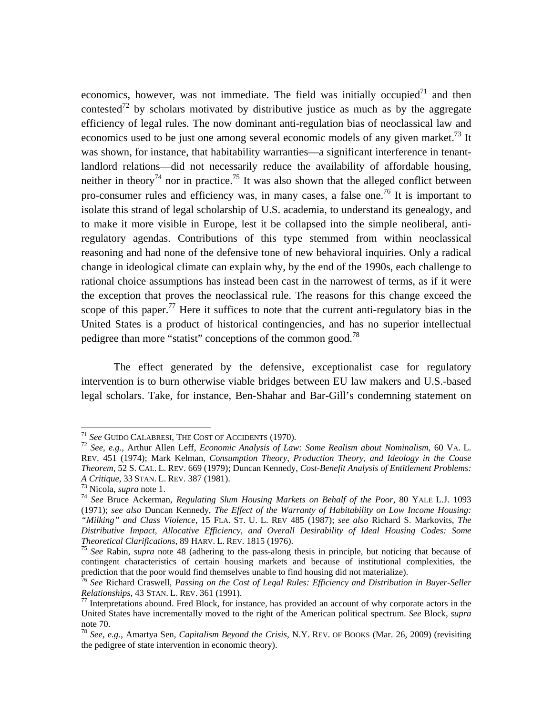economics, however, was not immediate. The field was initially occupied<sup>71</sup> and then contested<sup>72</sup> by scholars motivated by distributive justice as much as by the aggregate efficiency of legal rules. The now dominant anti-regulation bias of neoclassical law and economics used to be just one among several economic models of any given market.<sup>73</sup> It was shown, for instance, that habitability warranties—a significant interference in tenantlandlord relations—did not necessarily reduce the availability of affordable housing, neither in theory<sup>74</sup> nor in practice.<sup>75</sup> It was also shown that the alleged conflict between pro-consumer rules and efficiency was, in many cases, a false one.<sup>76</sup> It is important to isolate this strand of legal scholarship of U.S. academia, to understand its genealogy, and to make it more visible in Europe, lest it be collapsed into the simple neoliberal, antiregulatory agendas. Contributions of this type stemmed from within neoclassical reasoning and had none of the defensive tone of new behavioral inquiries. Only a radical change in ideological climate can explain why, by the end of the 1990s, each challenge to rational choice assumptions has instead been cast in the narrowest of terms, as if it were the exception that proves the neoclassical rule. The reasons for this change exceed the scope of this paper.<sup>77</sup> Here it suffices to note that the current anti-regulatory bias in the United States is a product of historical contingencies, and has no superior intellectual pedigree than more "statist" conceptions of the common good.<sup>78</sup>

 The effect generated by the defensive, exceptionalist case for regulatory intervention is to burn otherwise viable bridges between EU law makers and U.S.-based legal scholars. Take, for instance, Ben-Shahar and Bar-Gill's condemning statement on

 $71$  See GUIDO CALABRESI, THE COST OF ACCIDENTS (1970).

<sup>&</sup>lt;sup>72</sup> *See*, e.g., Arthur Allen Leff, *Economic Analysis of Law: Some Realism about Nominalism*, 60 VA. L. REV. 451 (1974); Mark Kelman, *Consumption Theory, Production Theory, and Ideology in the Coase Theorem*, 52 S. CAL. L. REV. 669 (1979); Duncan Kennedy, *Cost-Benefit Analysis of Entitlement Problems:* 

*A Critique*, 33 STAN. L. REV. 387 (1981). 73 Nicola, *supra* note 1. 74 *See* Bruce Ackerman, *Regulating Slum Housing Markets on Behalf of the Poor*, 80 YALE L.J. 1093 (1971); *see also* Duncan Kennedy, *The Effect of the Warranty of Habitability on Low Income Housing: "Milking" and Class Violence*, 15 FLA. ST. U. L. REV 485 (1987); *see also* Richard S. Markovits, *The Distributive Impact, Allocative Efficiency, and Overall Desirability of Ideal Housing Codes: Some Theoretical Clarifications*, 89 HARV. L. REV. 1815 (1976).<br><sup>75</sup> *See* Rabin, *supra* note 48 (adhering to the pass-along thesis in principle, but noticing that because of

contingent characteristics of certain housing markets and because of institutional complexities, the prediction that the poor would find themselves unable to find housing did not materialize).

<sup>76</sup> *See* Richard Craswell, *Passing on the Cost of Legal Rules: Efficiency and Distribution in Buyer-Seller Relationships*, 43 STAN. L. REV. 361 (1991).<br><sup>77</sup> Interpretations abound. Fred Block, for instance, has provided an account of why corporate actors in the

United States have incrementally moved to the right of the American political spectrum. *See* Block, *supra* note 70.

<sup>78</sup> *See, e.g.*, Amartya Sen, *Capitalism Beyond the Crisis*, N.Y. REV. OF BOOKS (Mar. 26, 2009) (revisiting the pedigree of state intervention in economic theory).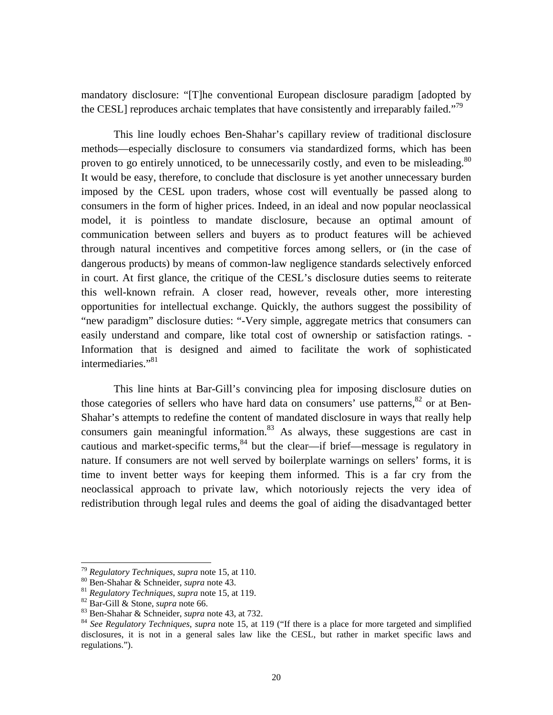mandatory disclosure: "[T]he conventional European disclosure paradigm [adopted by the CESL] reproduces archaic templates that have consistently and irreparably failed."<sup>79</sup>

 This line loudly echoes Ben-Shahar's capillary review of traditional disclosure methods—especially disclosure to consumers via standardized forms, which has been proven to go entirely unnoticed, to be unnecessarily costly, and even to be misleading.<sup>80</sup> It would be easy, therefore, to conclude that disclosure is yet another unnecessary burden imposed by the CESL upon traders, whose cost will eventually be passed along to consumers in the form of higher prices. Indeed, in an ideal and now popular neoclassical model, it is pointless to mandate disclosure, because an optimal amount of communication between sellers and buyers as to product features will be achieved through natural incentives and competitive forces among sellers, or (in the case of dangerous products) by means of common-law negligence standards selectively enforced in court. At first glance, the critique of the CESL's disclosure duties seems to reiterate this well-known refrain. A closer read, however, reveals other, more interesting opportunities for intellectual exchange. Quickly, the authors suggest the possibility of "new paradigm" disclosure duties: "-Very simple, aggregate metrics that consumers can easily understand and compare, like total cost of ownership or satisfaction ratings. - Information that is designed and aimed to facilitate the work of sophisticated intermediaries."<sup>81</sup>

 This line hints at Bar-Gill's convincing plea for imposing disclosure duties on those categories of sellers who have hard data on consumers' use patterns,  $82$  or at Ben-Shahar's attempts to redefine the content of mandated disclosure in ways that really help consumers gain meaningful information. $83$  As always, these suggestions are cast in cautious and market-specific terms,  $84$  but the clear—if brief—message is regulatory in nature. If consumers are not well served by boilerplate warnings on sellers' forms, it is time to invent better ways for keeping them informed. This is a far cry from the neoclassical approach to private law, which notoriously rejects the very idea of redistribution through legal rules and deems the goal of aiding the disadvantaged better

<sup>&</sup>lt;sup>79</sup> Regulatory Techniques, supra note 15, at 110.<br><sup>80</sup> Ben-Shahar & Schneider, *supra* note 43.<br><sup>81</sup> Regulatory Techniques, *supra* note 15, at 119.<br><sup>82</sup> Bar-Gill & Stone, *supra* note 66.<br><sup>83</sup> Ben-Shahar & Schneider, *s* disclosures, it is not in a general sales law like the CESL, but rather in market specific laws and regulations.").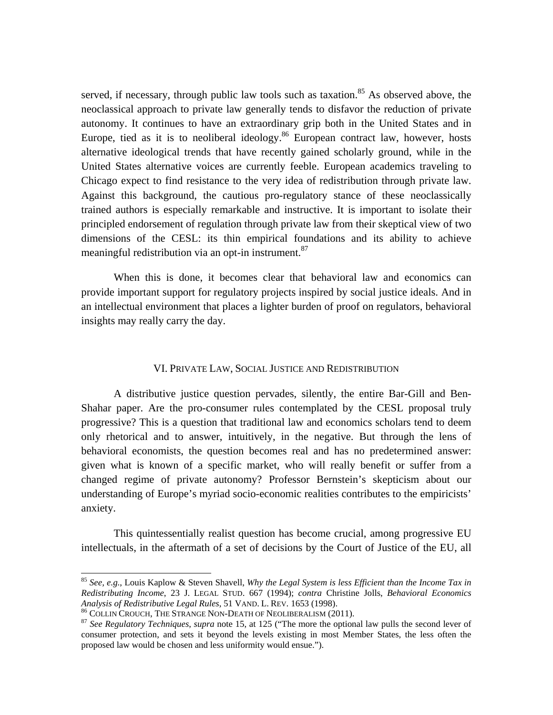served, if necessary, through public law tools such as taxation.<sup>85</sup> As observed above, the neoclassical approach to private law generally tends to disfavor the reduction of private autonomy. It continues to have an extraordinary grip both in the United States and in Europe, tied as it is to neoliberal ideology.<sup>86</sup> European contract law, however, hosts alternative ideological trends that have recently gained scholarly ground, while in the United States alternative voices are currently feeble. European academics traveling to Chicago expect to find resistance to the very idea of redistribution through private law. Against this background, the cautious pro-regulatory stance of these neoclassically trained authors is especially remarkable and instructive. It is important to isolate their principled endorsement of regulation through private law from their skeptical view of two dimensions of the CESL: its thin empirical foundations and its ability to achieve meaningful redistribution via an opt-in instrument.<sup>87</sup>

 When this is done, it becomes clear that behavioral law and economics can provide important support for regulatory projects inspired by social justice ideals. And in an intellectual environment that places a lighter burden of proof on regulators, behavioral insights may really carry the day.

#### VI. PRIVATE LAW, SOCIAL JUSTICE AND REDISTRIBUTION

 A distributive justice question pervades, silently, the entire Bar-Gill and Ben-Shahar paper. Are the pro-consumer rules contemplated by the CESL proposal truly progressive? This is a question that traditional law and economics scholars tend to deem only rhetorical and to answer, intuitively, in the negative. But through the lens of behavioral economists, the question becomes real and has no predetermined answer: given what is known of a specific market, who will really benefit or suffer from a changed regime of private autonomy? Professor Bernstein's skepticism about our understanding of Europe's myriad socio-economic realities contributes to the empiricists' anxiety.

 This quintessentially realist question has become crucial, among progressive EU intellectuals, in the aftermath of a set of decisions by the Court of Justice of the EU, all

<sup>85</sup> *See, e.g.*, Louis Kaplow & Steven Shavell, *Why the Legal System is less Efficient than the Income Tax in Redistributing Income*, 23 J. LEGAL STUD. 667 (1994); *contra* Christine Jolls, *Behavioral Economics*  Analysis of Redistributive Legal Rules, 51 VAND. L. REV. 1653 (1998).<br><sup>86</sup> COLLIN CROUCH, THE STRANGE NON-DEATH OF NEOLIBERALISM (2011).<br><sup>87</sup> See Regulatory Techniques, supra note 15, at 125 ("The more the optional law pul

consumer protection, and sets it beyond the levels existing in most Member States, the less often the proposed law would be chosen and less uniformity would ensue.").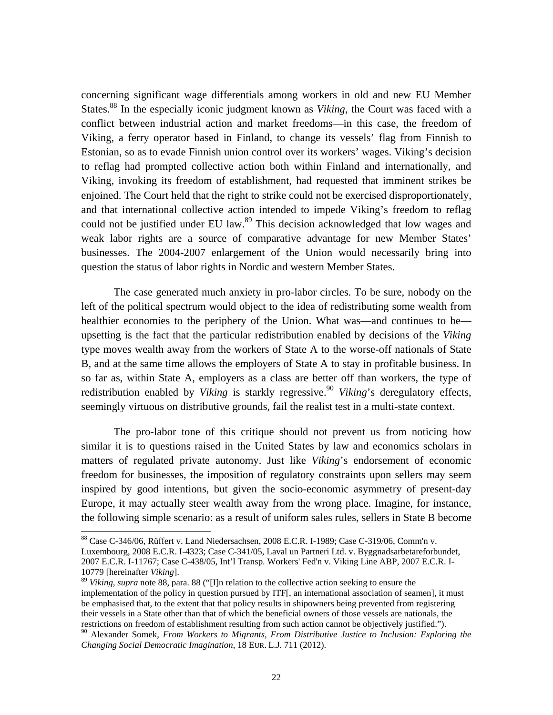concerning significant wage differentials among workers in old and new EU Member States.<sup>88</sup> In the especially iconic judgment known as *Viking*, the Court was faced with a conflict between industrial action and market freedoms—in this case, the freedom of Viking, a ferry operator based in Finland, to change its vessels' flag from Finnish to Estonian, so as to evade Finnish union control over its workers' wages. Viking's decision to reflag had prompted collective action both within Finland and internationally, and Viking, invoking its freedom of establishment, had requested that imminent strikes be enjoined. The Court held that the right to strike could not be exercised disproportionately, and that international collective action intended to impede Viking's freedom to reflag could not be justified under EU law.<sup>89</sup> This decision acknowledged that low wages and weak labor rights are a source of comparative advantage for new Member States' businesses. The 2004-2007 enlargement of the Union would necessarily bring into question the status of labor rights in Nordic and western Member States.

 The case generated much anxiety in pro-labor circles. To be sure, nobody on the left of the political spectrum would object to the idea of redistributing some wealth from healthier economies to the periphery of the Union. What was—and continues to be upsetting is the fact that the particular redistribution enabled by decisions of the *Viking* type moves wealth away from the workers of State A to the worse-off nationals of State B, and at the same time allows the employers of State A to stay in profitable business. In so far as, within State A, employers as a class are better off than workers, the type of redistribution enabled by *Viking* is starkly regressive.<sup>90</sup> *Viking*'s deregulatory effects, seemingly virtuous on distributive grounds, fail the realist test in a multi-state context.

 The pro-labor tone of this critique should not prevent us from noticing how similar it is to questions raised in the United States by law and economics scholars in matters of regulated private autonomy. Just like *Viking*'s endorsement of economic freedom for businesses, the imposition of regulatory constraints upon sellers may seem inspired by good intentions, but given the socio-economic asymmetry of present-day Europe, it may actually steer wealth away from the wrong place. Imagine, for instance, the following simple scenario: as a result of uniform sales rules, sellers in State B become

<sup>88</sup> Case C-346/06, Rüffert v. Land Niedersachsen, 2008 E.C.R. I-1989; Case C-319/06, Comm'n v. Luxembourg, 2008 E.C.R. I-4323; Case C-341/05, Laval un Partneri Ltd. v. Byggnadsarbetareforbundet, 2007 E.C.R. I-11767; Case C-438/05, Int'l Transp. Workers' Fed'n v. Viking Line ABP, 2007 E.C.R. I-10779 [hereinafter *Viking*].

<sup>89</sup> *Viking*, *supra* note 88, para. 88 ("[I]n relation to the collective action seeking to ensure the implementation of the policy in question pursued by ITF[, an international association of seamen], it must be emphasised that, to the extent that that policy results in shipowners being prevented from registering their vessels in a State other than that of which the beneficial owners of those vessels are nationals, the restrictions on freedom of establishment resulting from such action cannot be objectively justified.").

<sup>90</sup> Alexander Somek, *From Workers to Migrants, From Distributive Justice to Inclusion: Exploring the Changing Social Democratic Imagination*, 18 EUR. L.J. 711 (2012).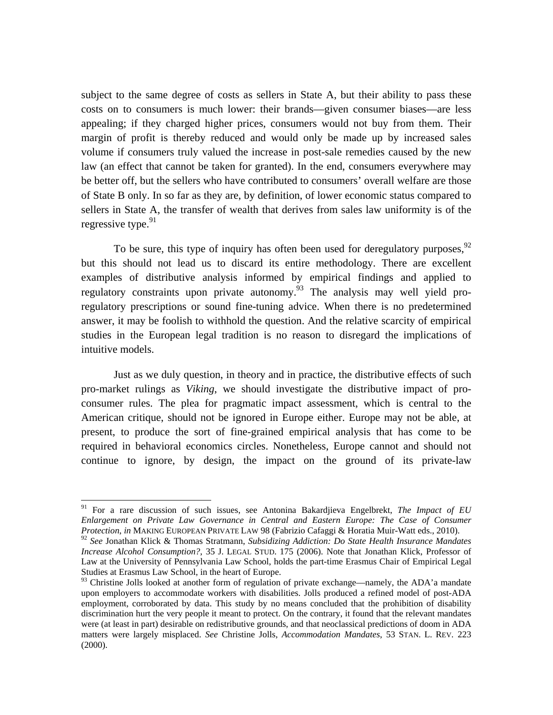subject to the same degree of costs as sellers in State A, but their ability to pass these costs on to consumers is much lower: their brands—given consumer biases—are less appealing; if they charged higher prices, consumers would not buy from them. Their margin of profit is thereby reduced and would only be made up by increased sales volume if consumers truly valued the increase in post-sale remedies caused by the new law (an effect that cannot be taken for granted). In the end, consumers everywhere may be better off, but the sellers who have contributed to consumers' overall welfare are those of State B only. In so far as they are, by definition, of lower economic status compared to sellers in State A, the transfer of wealth that derives from sales law uniformity is of the regressive type. $91$ 

To be sure, this type of inquiry has often been used for deregulatory purposes,  $92$ but this should not lead us to discard its entire methodology. There are excellent examples of distributive analysis informed by empirical findings and applied to regulatory constraints upon private autonomy.<sup>93</sup> The analysis may well yield proregulatory prescriptions or sound fine-tuning advice. When there is no predetermined answer, it may be foolish to withhold the question. And the relative scarcity of empirical studies in the European legal tradition is no reason to disregard the implications of intuitive models.

 Just as we duly question, in theory and in practice, the distributive effects of such pro-market rulings as *Viking*, we should investigate the distributive impact of proconsumer rules. The plea for pragmatic impact assessment, which is central to the American critique, should not be ignored in Europe either. Europe may not be able, at present, to produce the sort of fine-grained empirical analysis that has come to be required in behavioral economics circles. Nonetheless, Europe cannot and should not continue to ignore, by design, the impact on the ground of its private-law

<sup>91</sup> For a rare discussion of such issues, see Antonina Bakardjieva Engelbrekt, *The Impact of EU Enlargement on Private Law Governance in Central and Eastern Europe: The Case of Consumer Protection*, *in* MAKING EUROPEAN PRIVATE LAW 98 (Fabrizio Cafaggi & Horatia Muir-Watt eds., 2010).

<sup>92</sup> *See* Jonathan Klick & Thomas Stratmann, *Subsidizing Addiction: Do State Health Insurance Mandates Increase Alcohol Consumption?*, 35 J. LEGAL STUD. 175 (2006). Note that Jonathan Klick, Professor of Law at the University of Pennsylvania Law School, holds the part-time Erasmus Chair of Empirical Legal Studies at Erasmus Law School, in the heart of Europe.

<sup>&</sup>lt;sup>93</sup> Christine Jolls looked at another form of regulation of private exchange—namely, the ADA'a mandate upon employers to accommodate workers with disabilities. Jolls produced a refined model of post-ADA employment, corroborated by data. This study by no means concluded that the prohibition of disability discrimination hurt the very people it meant to protect. On the contrary, it found that the relevant mandates were (at least in part) desirable on redistributive grounds, and that neoclassical predictions of doom in ADA matters were largely misplaced. *See* Christine Jolls, *Accommodation Mandates*, 53 STAN. L. REV. 223 (2000).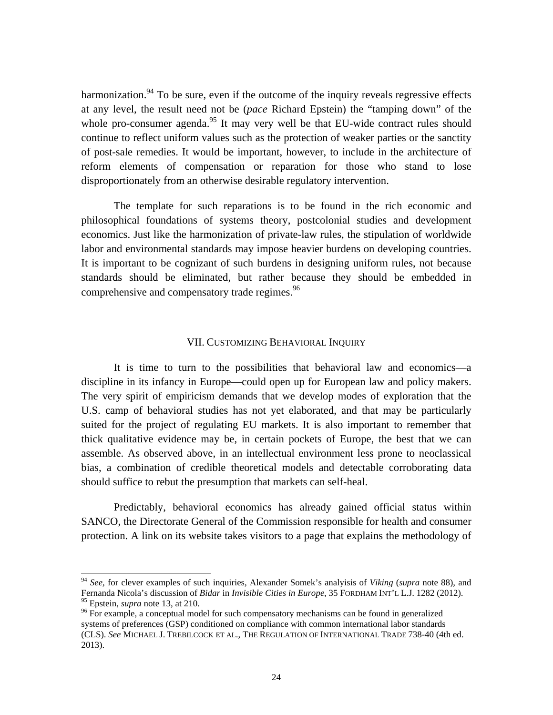harmonization.<sup>94</sup> To be sure, even if the outcome of the inquiry reveals regressive effects at any level, the result need not be (*pace* Richard Epstein) the "tamping down" of the whole pro-consumer agenda. $95$  It may very well be that EU-wide contract rules should continue to reflect uniform values such as the protection of weaker parties or the sanctity of post-sale remedies. It would be important, however, to include in the architecture of reform elements of compensation or reparation for those who stand to lose disproportionately from an otherwise desirable regulatory intervention.

 The template for such reparations is to be found in the rich economic and philosophical foundations of systems theory, postcolonial studies and development economics. Just like the harmonization of private-law rules, the stipulation of worldwide labor and environmental standards may impose heavier burdens on developing countries. It is important to be cognizant of such burdens in designing uniform rules, not because standards should be eliminated, but rather because they should be embedded in comprehensive and compensatory trade regimes.<sup>96</sup>

#### VII. CUSTOMIZING BEHAVIORAL INQUIRY

 It is time to turn to the possibilities that behavioral law and economics—a discipline in its infancy in Europe—could open up for European law and policy makers. The very spirit of empiricism demands that we develop modes of exploration that the U.S. camp of behavioral studies has not yet elaborated, and that may be particularly suited for the project of regulating EU markets. It is also important to remember that thick qualitative evidence may be, in certain pockets of Europe, the best that we can assemble. As observed above, in an intellectual environment less prone to neoclassical bias, a combination of credible theoretical models and detectable corroborating data should suffice to rebut the presumption that markets can self-heal.

 Predictably, behavioral economics has already gained official status within SANCO, the Directorate General of the Commission responsible for health and consumer protection. A link on its website takes visitors to a page that explains the methodology of

<sup>94</sup> *See,* for clever examples of such inquiries, Alexander Somek's analyisis of *Viking* (*supra* note 88), and Fernanda Nicola's discussion of *Bidar* in *Invisible Cities in Europe*, 35 FORDHAM INT'L L.J. 1282 (2012).

<sup>&</sup>lt;sup>95</sup> Epstein, *supra* note 13, at 210.<br><sup>96</sup> For example, a conceptual model for such compensatory mechanisms can be found in generalized systems of preferences (GSP) conditioned on compliance with common international labor standards (CLS). *See* MICHAEL J. TREBILCOCK ET AL., THE REGULATION OF INTERNATIONAL TRADE 738-40 (4th ed. 2013).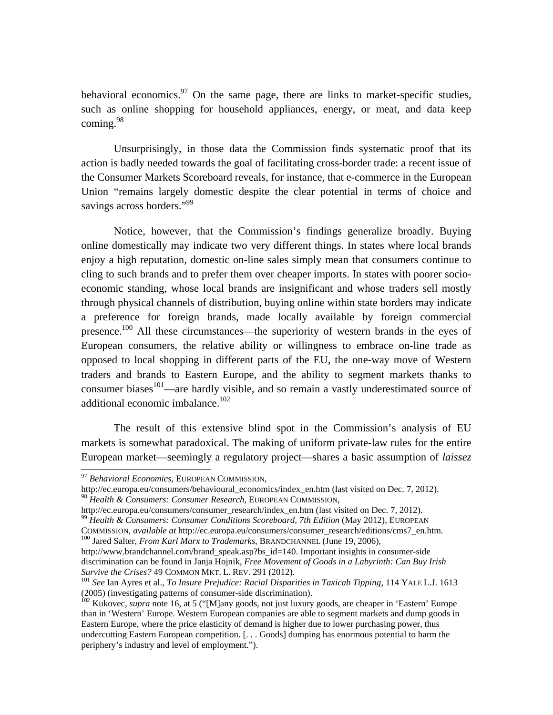behavioral economics.<sup>97</sup> On the same page, there are links to market-specific studies, such as online shopping for household appliances, energy, or meat, and data keep coming. $98$ 

 Unsurprisingly, in those data the Commission finds systematic proof that its action is badly needed towards the goal of facilitating cross-border trade: a recent issue of the Consumer Markets Scoreboard reveals, for instance, that e-commerce in the European Union "remains largely domestic despite the clear potential in terms of choice and savings across borders."<sup>99</sup>

 Notice, however, that the Commission's findings generalize broadly. Buying online domestically may indicate two very different things. In states where local brands enjoy a high reputation, domestic on-line sales simply mean that consumers continue to cling to such brands and to prefer them over cheaper imports. In states with poorer socioeconomic standing, whose local brands are insignificant and whose traders sell mostly through physical channels of distribution, buying online within state borders may indicate a preference for foreign brands, made locally available by foreign commercial presence.100 All these circumstances—the superiority of western brands in the eyes of European consumers, the relative ability or willingness to embrace on-line trade as opposed to local shopping in different parts of the EU, the one-way move of Western traders and brands to Eastern Europe, and the ability to segment markets thanks to consumer biases $101$ —are hardly visible, and so remain a vastly underestimated source of additional economic imbalance.<sup>102</sup>

 The result of this extensive blind spot in the Commission's analysis of EU markets is somewhat paradoxical. The making of uniform private-law rules for the entire European market—seemingly a regulatory project—shares a basic assumption of *laissez* 

<sup>97</sup> *Behavioral Economics*, EUROPEAN COMMISSION,

http://ec.europa.eu/consumers/behavioural\_economics/index\_en.htm (last visited on Dec. 7, 2012). <sup>98</sup> *Health & Consumers: Consumer Research*, EUROPEAN COMMISSION,

http://ec.europa.eu/consumers/consumer\_research/index\_en.htm (last visited on Dec. 7, 2012). <sup>99</sup> *Health & Consumers: Consumer Conditions Scoreboard, 7th Edition* (May 2012), EUROPEAN

COMMISSION, *available at* http://ec.europa.eu/consumers/consumer\_research/editions/cms7\_en.htm. 100 Jared Salter, *From Karl Marx to Trademarks*, BRANDCHANNEL (June 19, 2006),

http://www.brandchannel.com/brand\_speak.asp?bs\_id=140. Important insights in consumer-side discrimination can be found in Janja Hojnik, *Free Movement of Goods in a Labyrinth: Can Buy Irish Survive the Crises?* 49 COMMON MKT. L. REV. 291 (2012).<br><sup>101</sup> *See* Ian Ayres et al., *To Insure Prejudice: Racial Disparities in Taxicab Tipping*, 114 YALE L.J. 1613

<sup>(2005) (</sup>investigating patterns of consumer-side discrimination).

<sup>&</sup>lt;sup>102</sup> Kukovec, *supra* note 16, at 5 ("[M]any goods, not just luxury goods, are cheaper in 'Eastern' Europe than in 'Western' Europe. Western European companies are able to segment markets and dump goods in Eastern Europe, where the price elasticity of demand is higher due to lower purchasing power, thus undercutting Eastern European competition. [. . . Goods] dumping has enormous potential to harm the periphery's industry and level of employment.").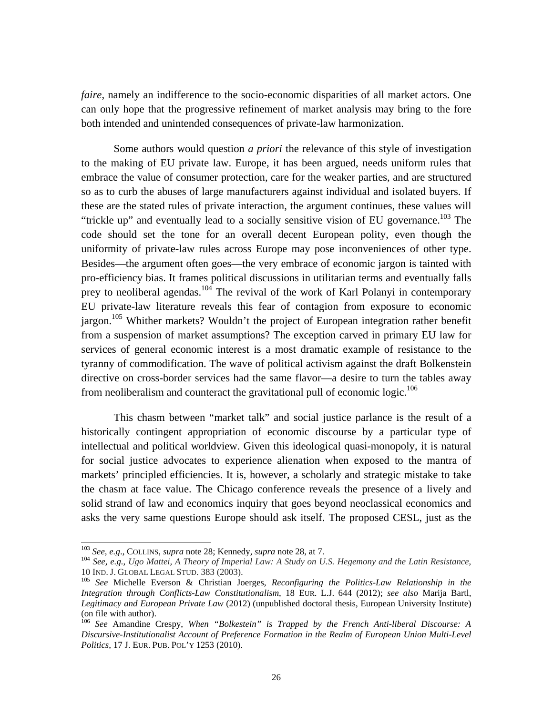*faire*, namely an indifference to the socio-economic disparities of all market actors. One can only hope that the progressive refinement of market analysis may bring to the fore both intended and unintended consequences of private-law harmonization.

 Some authors would question *a priori* the relevance of this style of investigation to the making of EU private law. Europe, it has been argued, needs uniform rules that embrace the value of consumer protection, care for the weaker parties, and are structured so as to curb the abuses of large manufacturers against individual and isolated buyers. If these are the stated rules of private interaction, the argument continues, these values will "trickle up" and eventually lead to a socially sensitive vision of EU governance.<sup>103</sup> The code should set the tone for an overall decent European polity, even though the uniformity of private-law rules across Europe may pose inconveniences of other type. Besides—the argument often goes—the very embrace of economic jargon is tainted with pro-efficiency bias. It frames political discussions in utilitarian terms and eventually falls prey to neoliberal agendas.<sup>104</sup> The revival of the work of Karl Polanyi in contemporary EU private-law literature reveals this fear of contagion from exposure to economic iargon.<sup>105</sup> Whither markets? Wouldn't the project of European integration rather benefit from a suspension of market assumptions? The exception carved in primary EU law for services of general economic interest is a most dramatic example of resistance to the tyranny of commodification. The wave of political activism against the draft Bolkenstein directive on cross-border services had the same flavor—a desire to turn the tables away from neoliberalism and counteract the gravitational pull of economic logic.<sup>106</sup>

 This chasm between "market talk" and social justice parlance is the result of a historically contingent appropriation of economic discourse by a particular type of intellectual and political worldview. Given this ideological quasi-monopoly, it is natural for social justice advocates to experience alienation when exposed to the mantra of markets' principled efficiencies. It is, however, a scholarly and strategic mistake to take the chasm at face value. The Chicago conference reveals the presence of a lively and solid strand of law and economics inquiry that goes beyond neoclassical economics and asks the very same questions Europe should ask itself. The proposed CESL, just as the

<sup>103</sup> *See, e.g*., COLLINS, *supra* note 28; Kennedy, *supra* note 28, at 7. 104 *See, e.g.*, *Ugo Mattei, A Theory of Imperial Law: A Study on U.S. Hegemony and the Latin Resistance*, 10 IND. J. GLOBAL LEGAL STUD. 383 (2003). <sup>105</sup> *See* Michelle Everson & Christian Joerges, *Reconfiguring the Politics-Law Relationship in the* 

*Integration through Conflicts-Law Constitutionalism*, 18 EUR. L.J. 644 (2012); *see also* Marija Bartl, *Legitimacy and European Private Law* (2012) (unpublished doctoral thesis, European University Institute) (on file with author).

<sup>106</sup> *See* Amandine Crespy, *When "Bolkestein" is Trapped by the French Anti-liberal Discourse: A Discursive-Institutionalist Account of Preference Formation in the Realm of European Union Multi-Level Politics*, 17 J. EUR. PUB. POL'Y 1253 (2010).